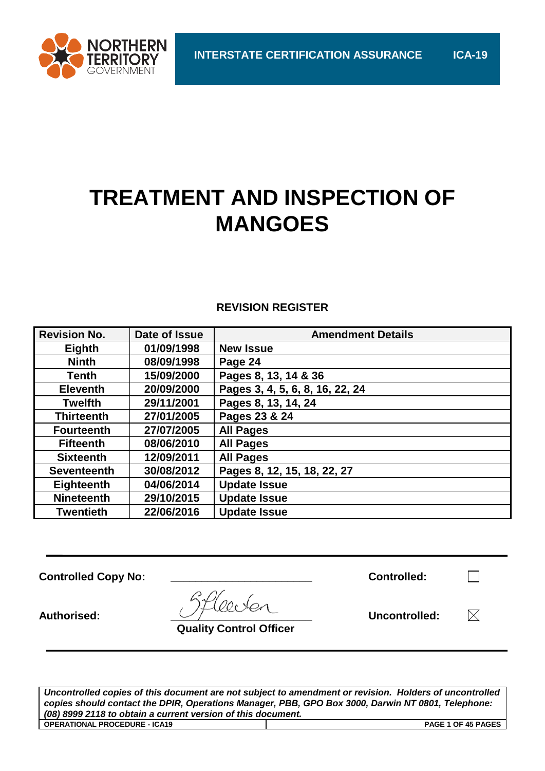

# **TREATMENT AND INSPECTION OF MANGOES**

### **REVISION REGISTER**

| <b>Revision No.</b> | Date of Issue | <b>Amendment Details</b>        |
|---------------------|---------------|---------------------------------|
| Eighth              | 01/09/1998    | <b>New Issue</b>                |
| <b>Ninth</b>        | 08/09/1998    | Page 24                         |
| <b>Tenth</b>        | 15/09/2000    | Pages 8, 13, 14 & 36            |
| <b>Eleventh</b>     | 20/09/2000    | Pages 3, 4, 5, 6, 8, 16, 22, 24 |
| <b>Twelfth</b>      | 29/11/2001    | Pages 8, 13, 14, 24             |
| <b>Thirteenth</b>   | 27/01/2005    | Pages 23 & 24                   |
| <b>Fourteenth</b>   | 27/07/2005    | <b>All Pages</b>                |
| <b>Fifteenth</b>    | 08/06/2010    | <b>All Pages</b>                |
| <b>Sixteenth</b>    | 12/09/2011    | <b>All Pages</b>                |
| <b>Seventeenth</b>  | 30/08/2012    | Pages 8, 12, 15, 18, 22, 27     |
| <b>Eighteenth</b>   | 04/06/2014    | <b>Update Issue</b>             |
| <b>Nineteenth</b>   | 29/10/2015    | <b>Update Issue</b>             |
| <b>Twentieth</b>    | 22/06/2016    | <b>Update Issue</b>             |

**Controlled Copy No: \_\_\_\_\_\_\_\_\_\_\_\_\_\_\_\_\_\_\_\_\_\_\_ Controlled:**

| <b>Controlled:</b> |  |
|--------------------|--|
|                    |  |

 $\Box$ 

 $\boxtimes$ 

Authorised:  $\bigcup_{\mathcal{F}}$  and  $\bigcup_{\mathcal{F}}$  and  $\bigcup$  **Uncontrolled:** Uncontrolled:

 **Quality Control Officer**

*Uncontrolled copies of this document are not subject to amendment or revision. Holders of uncontrolled copies should contact the DPIR, Operations Manager, PBB, GPO Box 3000, Darwin NT 0801, Telephone: (08) 8999 2118 to obtain a current version of this document.* **OPERATIONAL PROCEDURE - ICA19 PAGE 1 OF 45 PAGES**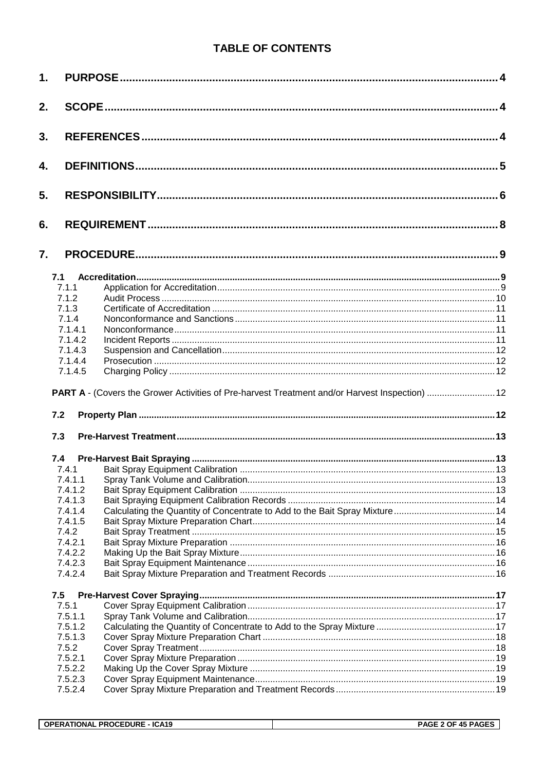## **TABLE OF CONTENTS**

| 1. |                    |                                                                                               |  |
|----|--------------------|-----------------------------------------------------------------------------------------------|--|
| 2. |                    |                                                                                               |  |
| 3. |                    |                                                                                               |  |
| 4. |                    |                                                                                               |  |
| 5. |                    |                                                                                               |  |
| 6. |                    |                                                                                               |  |
| 7. |                    |                                                                                               |  |
|    | 7.1                |                                                                                               |  |
|    | 7.1.1              |                                                                                               |  |
|    | 7.1.2              |                                                                                               |  |
|    | 7.1.3              |                                                                                               |  |
|    | 7.1.4              |                                                                                               |  |
|    | 7.1.4.1            |                                                                                               |  |
|    | 7.1.4.2            |                                                                                               |  |
|    | 7.1.4.3            |                                                                                               |  |
|    | 7.1.4.4<br>7.1.4.5 |                                                                                               |  |
|    | 7.2                | PART A - (Covers the Grower Activities of Pre-harvest Treatment and/or Harvest Inspection) 12 |  |
|    | 7.3                |                                                                                               |  |
|    | 7.4                |                                                                                               |  |
|    | 7.4.1              |                                                                                               |  |
|    |                    |                                                                                               |  |
|    | 7.4.1.2            |                                                                                               |  |
|    | 7.4.1.3            |                                                                                               |  |
|    | 7.4.1.4            |                                                                                               |  |
|    | 7.4.1.5            |                                                                                               |  |
|    | 7.4.2              |                                                                                               |  |
|    | 7.4.2.1            |                                                                                               |  |
|    | 7.4.2.2<br>7.4.2.3 |                                                                                               |  |
|    | 7.4.2.4            |                                                                                               |  |
|    |                    |                                                                                               |  |
|    | 7.5                |                                                                                               |  |
|    | 7.5.1              |                                                                                               |  |
|    | 7.5.1.1            |                                                                                               |  |
|    | 7.5.1.2            |                                                                                               |  |
|    | 7.5.1.3            |                                                                                               |  |
|    | 7.5.2<br>7.5.2.1   |                                                                                               |  |
|    | 7.5.2.2            |                                                                                               |  |
|    | 7.5.2.3            |                                                                                               |  |
|    | 7.5.2.4            |                                                                                               |  |
|    |                    |                                                                                               |  |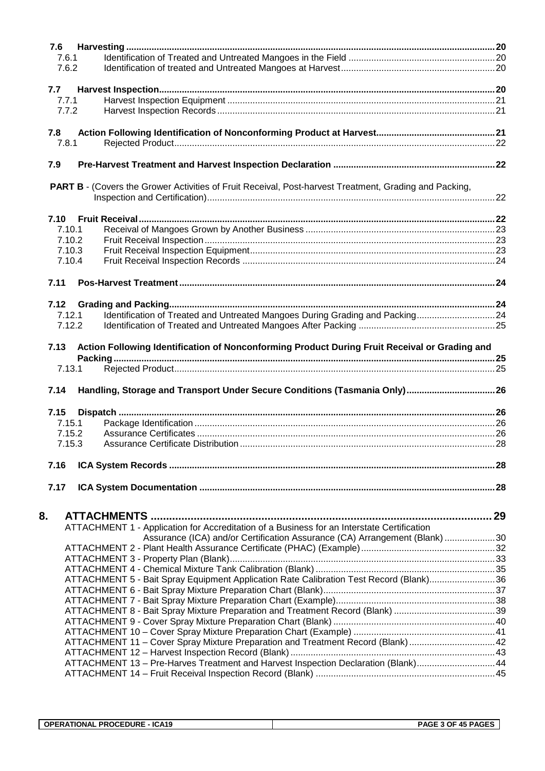| 7.6              |                                                                                                               |  |
|------------------|---------------------------------------------------------------------------------------------------------------|--|
| 7.6.1            |                                                                                                               |  |
| 7.6.2            |                                                                                                               |  |
|                  |                                                                                                               |  |
| 7.7              |                                                                                                               |  |
| 7.7.1            |                                                                                                               |  |
| 7.7.2            |                                                                                                               |  |
|                  |                                                                                                               |  |
| 7.8              |                                                                                                               |  |
| 7.8.1            |                                                                                                               |  |
|                  |                                                                                                               |  |
| 7.9              |                                                                                                               |  |
|                  |                                                                                                               |  |
|                  | <b>PART B - (Covers the Grower Activities of Fruit Receival, Post-harvest Treatment, Grading and Packing,</b> |  |
|                  |                                                                                                               |  |
|                  |                                                                                                               |  |
|                  |                                                                                                               |  |
| 7.10.1<br>7.10.2 |                                                                                                               |  |
| 7.10.3           |                                                                                                               |  |
| 7.10.4           |                                                                                                               |  |
|                  |                                                                                                               |  |
| 7.11             |                                                                                                               |  |
|                  |                                                                                                               |  |
| 7.12             |                                                                                                               |  |
| 7.12.1           | Identification of Treated and Untreated Mangoes During Grading and Packing24                                  |  |
| 7.12.2           |                                                                                                               |  |
|                  |                                                                                                               |  |
| 7.13             | Action Following Identification of Nonconforming Product During Fruit Receival or Grading and                 |  |
|                  |                                                                                                               |  |
| 7.13.1           |                                                                                                               |  |
|                  |                                                                                                               |  |
| 7.14             | Handling, Storage and Transport Under Secure Conditions (Tasmania Only)26                                     |  |
|                  |                                                                                                               |  |
| 7.15             |                                                                                                               |  |
| 7.15.1           |                                                                                                               |  |
| 7.15.2           |                                                                                                               |  |
| 7.15.3           |                                                                                                               |  |
|                  |                                                                                                               |  |
| 7.16             |                                                                                                               |  |
|                  |                                                                                                               |  |
| 7.17             |                                                                                                               |  |
|                  |                                                                                                               |  |
|                  |                                                                                                               |  |
| 8.               |                                                                                                               |  |
|                  | ATTACHMENT 1 - Application for Accreditation of a Business for an Interstate Certification                    |  |
|                  | Assurance (ICA) and/or Certification Assurance (CA) Arrangement (Blank) 30                                    |  |
|                  |                                                                                                               |  |
|                  |                                                                                                               |  |
|                  | ATTACHMENT 5 - Bait Spray Equipment Application Rate Calibration Test Record (Blank)36                        |  |
|                  |                                                                                                               |  |
|                  |                                                                                                               |  |
|                  | ATTACHMENT 8 - Bait Spray Mixture Preparation and Treatment Record (Blank) 39                                 |  |
|                  |                                                                                                               |  |
|                  |                                                                                                               |  |
|                  | ATTACHMENT 11 - Cover Spray Mixture Preparation and Treatment Record (Blank) 42                               |  |
|                  |                                                                                                               |  |
|                  | ATTACHMENT 13 - Pre-Harves Treatment and Harvest Inspection Declaration (Blank)44                             |  |
|                  |                                                                                                               |  |
|                  |                                                                                                               |  |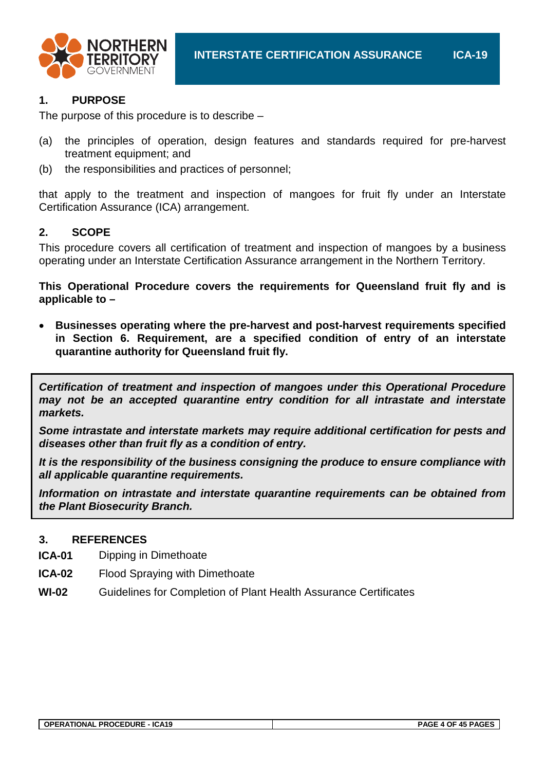

#### **1. PURPOSE**

The purpose of this procedure is to describe –

- (a) the principles of operation, design features and standards required for pre-harvest treatment equipment; and
- (b) the responsibilities and practices of personnel;

that apply to the treatment and inspection of mangoes for fruit fly under an Interstate Certification Assurance (ICA) arrangement.

#### **2. SCOPE**

This procedure covers all certification of treatment and inspection of mangoes by a business operating under an Interstate Certification Assurance arrangement in the Northern Territory.

**This Operational Procedure covers the requirements for Queensland fruit fly and is applicable to –**

• **Businesses operating where the pre-harvest and post-harvest requirements specified in Section 6. Requirement, are a specified condition of entry of an interstate quarantine authority for Queensland fruit fly.**

*Certification of treatment and inspection of mangoes under this Operational Procedure may not be an accepted quarantine entry condition for all intrastate and interstate markets.*

*Some intrastate and interstate markets may require additional certification for pests and diseases other than fruit fly as a condition of entry.*

*It is the responsibility of the business consigning the produce to ensure compliance with all applicable quarantine requirements.*

*Information on intrastate and interstate quarantine requirements can be obtained from the Plant Biosecurity Branch.*

#### **3. REFERENCES**

- **ICA-01** Dipping in Dimethoate
- **ICA-02** Flood Spraying with Dimethoate
- **WI-02** Guidelines for Completion of Plant Health Assurance Certificates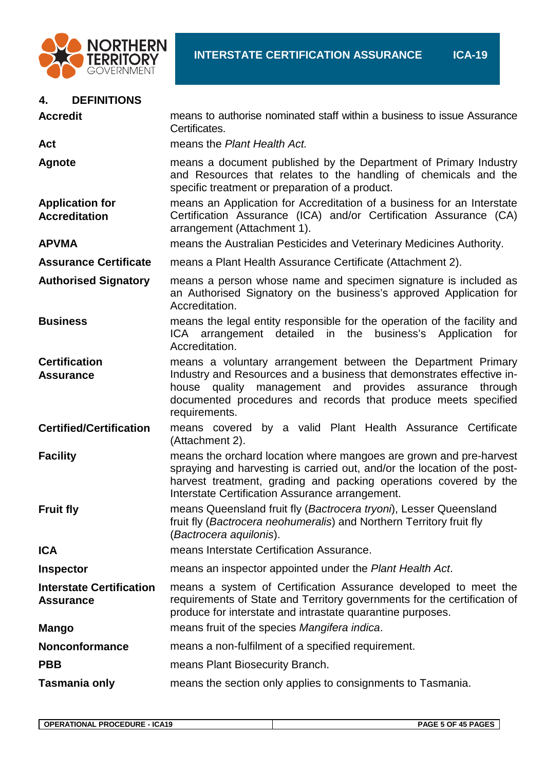

| <b>DEFINITIONS</b><br>4.                            |                                                                                                                                                                                                                                                                                           |
|-----------------------------------------------------|-------------------------------------------------------------------------------------------------------------------------------------------------------------------------------------------------------------------------------------------------------------------------------------------|
| <b>Accredit</b>                                     | means to authorise nominated staff within a business to issue Assurance<br>Certificates.                                                                                                                                                                                                  |
| Act                                                 | means the Plant Health Act.                                                                                                                                                                                                                                                               |
| <b>Agnote</b>                                       | means a document published by the Department of Primary Industry<br>and Resources that relates to the handling of chemicals and the<br>specific treatment or preparation of a product.                                                                                                    |
| <b>Application for</b><br><b>Accreditation</b>      | means an Application for Accreditation of a business for an Interstate<br>Certification Assurance (ICA) and/or Certification Assurance (CA)<br>arrangement (Attachment 1).                                                                                                                |
| <b>APVMA</b>                                        | means the Australian Pesticides and Veterinary Medicines Authority.                                                                                                                                                                                                                       |
| <b>Assurance Certificate</b>                        | means a Plant Health Assurance Certificate (Attachment 2).                                                                                                                                                                                                                                |
| <b>Authorised Signatory</b>                         | means a person whose name and specimen signature is included as<br>an Authorised Signatory on the business's approved Application for<br>Accreditation.                                                                                                                                   |
| <b>Business</b>                                     | means the legal entity responsible for the operation of the facility and<br>ICA arrangement detailed<br>in the business's Application for<br>Accreditation.                                                                                                                               |
| <b>Certification</b><br><b>Assurance</b>            | means a voluntary arrangement between the Department Primary<br>Industry and Resources and a business that demonstrates effective in-<br>quality management and provides assurance<br>house<br>through<br>documented procedures and records that produce meets specified<br>requirements. |
| <b>Certified/Certification</b>                      | means covered by a valid Plant Health Assurance Certificate<br>(Attachment 2).                                                                                                                                                                                                            |
| <b>Facility</b>                                     | means the orchard location where mangoes are grown and pre-harvest<br>spraying and harvesting is carried out, and/or the location of the post-<br>harvest treatment, grading and packing operations covered by the<br>Interstate Certification Assurance arrangement.                     |
| <b>Fruit fly</b>                                    | means Queensland fruit fly (Bactrocera tryoni), Lesser Queensland<br>fruit fly (Bactrocera neohumeralis) and Northern Territory fruit fly<br>(Bactrocera aquilonis).                                                                                                                      |
| <b>ICA</b>                                          | means Interstate Certification Assurance.                                                                                                                                                                                                                                                 |
| <b>Inspector</b>                                    | means an inspector appointed under the Plant Health Act.                                                                                                                                                                                                                                  |
| <b>Interstate Certification</b><br><b>Assurance</b> | means a system of Certification Assurance developed to meet the<br>requirements of State and Territory governments for the certification of<br>produce for interstate and intrastate quarantine purposes.                                                                                 |
| <b>Mango</b>                                        | means fruit of the species Mangifera indica.                                                                                                                                                                                                                                              |
| <b>Nonconformance</b>                               | means a non-fulfilment of a specified requirement.                                                                                                                                                                                                                                        |
| <b>PBB</b>                                          | means Plant Biosecurity Branch.                                                                                                                                                                                                                                                           |
| Tasmania only                                       | means the section only applies to consignments to Tasmania.                                                                                                                                                                                                                               |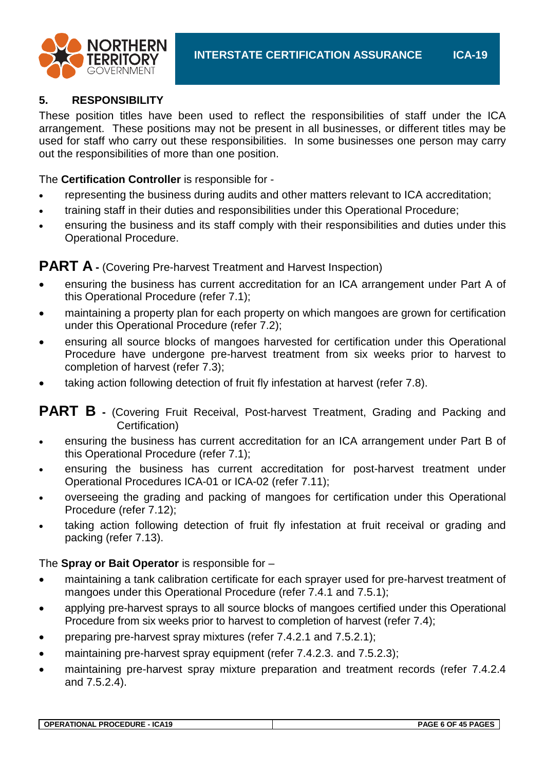

#### **5. RESPONSIBILITY**

These position titles have been used to reflect the responsibilities of staff under the ICA arrangement. These positions may not be present in all businesses, or different titles may be used for staff who carry out these responsibilities. In some businesses one person may carry out the responsibilities of more than one position.

The **Certification Controller** is responsible for -

- representing the business during audits and other matters relevant to ICA accreditation;
- training staff in their duties and responsibilities under this Operational Procedure;
- ensuring the business and its staff comply with their responsibilities and duties under this Operational Procedure.

### **PART A** - (Covering Pre-harvest Treatment and Harvest Inspection)

- ensuring the business has current accreditation for an ICA arrangement under Part A of this Operational Procedure (refer 7.1);
- maintaining a property plan for each property on which mangoes are grown for certification under this Operational Procedure (refer 7.2);
- ensuring all source blocks of mangoes harvested for certification under this Operational Procedure have undergone pre-harvest treatment from six weeks prior to harvest to completion of harvest (refer 7.3);
- taking action following detection of fruit fly infestation at harvest (refer 7.8).

**PART B** - (Covering Fruit Receival, Post-harvest Treatment, Grading and Packing and Certification)

- ensuring the business has current accreditation for an ICA arrangement under Part B of this Operational Procedure (refer 7.1);
- ensuring the business has current accreditation for post-harvest treatment under Operational Procedures ICA-01 or ICA-02 (refer 7.11);
- overseeing the grading and packing of mangoes for certification under this Operational Procedure (refer 7.12);
- taking action following detection of fruit fly infestation at fruit receival or grading and packing (refer 7.13).

#### The **Spray or Bait Operator** is responsible for –

- maintaining a tank calibration certificate for each sprayer used for pre-harvest treatment of mangoes under this Operational Procedure (refer 7.4.1 and 7.5.1);
- applying pre-harvest sprays to all source blocks of mangoes certified under this Operational Procedure from six weeks prior to harvest to completion of harvest (refer 7.4);
- preparing pre-harvest spray mixtures (refer 7.4.2.1 and 7.5.2.1);
- maintaining pre-harvest spray equipment (refer 7.4.2.3. and 7.5.2.3);
- maintaining pre-harvest spray mixture preparation and treatment records (refer 7.4.2.4) and 7.5.2.4).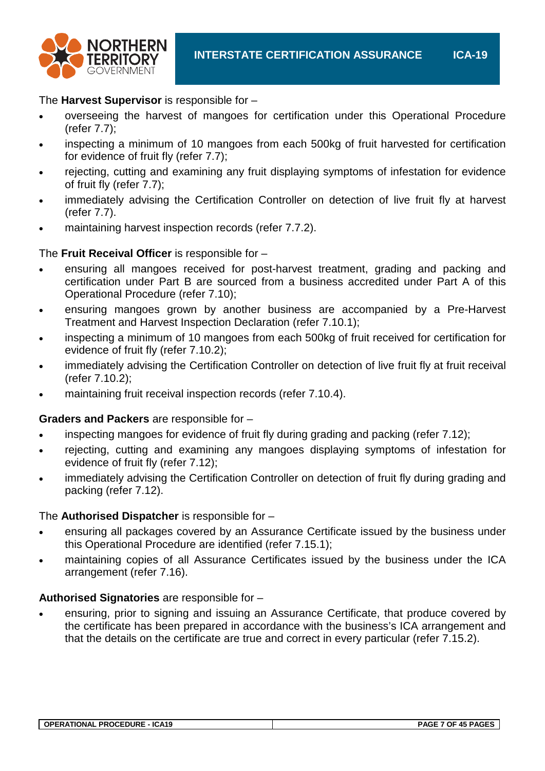

#### The **Harvest Supervisor** is responsible for –

- overseeing the harvest of mangoes for certification under this Operational Procedure (refer 7.7);
- inspecting a minimum of 10 mangoes from each 500kg of fruit harvested for certification for evidence of fruit fly (refer 7.7);
- rejecting, cutting and examining any fruit displaying symptoms of infestation for evidence of fruit fly (refer 7.7);
- immediately advising the Certification Controller on detection of live fruit fly at harvest (refer 7.7).
- maintaining harvest inspection records (refer 7.7.2).

#### The **Fruit Receival Officer** is responsible for –

- ensuring all mangoes received for post-harvest treatment, grading and packing and certification under Part B are sourced from a business accredited under Part A of this Operational Procedure (refer 7.10);
- ensuring mangoes grown by another business are accompanied by a Pre-Harvest Treatment and Harvest Inspection Declaration (refer 7.10.1);
- inspecting a minimum of 10 mangoes from each 500kg of fruit received for certification for evidence of fruit fly (refer 7.10.2);
- immediately advising the Certification Controller on detection of live fruit fly at fruit receival (refer 7.10.2);
- maintaining fruit receival inspection records (refer 7.10.4).

#### **Graders and Packers** are responsible for –

- inspecting mangoes for evidence of fruit fly during grading and packing (refer 7.12);
- rejecting, cutting and examining any mangoes displaying symptoms of infestation for evidence of fruit fly (refer 7.12);
- immediately advising the Certification Controller on detection of fruit fly during grading and packing (refer 7.12).

#### The **Authorised Dispatcher** is responsible for –

- ensuring all packages covered by an Assurance Certificate issued by the business under this Operational Procedure are identified (refer 7.15.1);
- maintaining copies of all Assurance Certificates issued by the business under the ICA arrangement (refer 7.16).

#### **Authorised Signatories** are responsible for –

• ensuring, prior to signing and issuing an Assurance Certificate, that produce covered by the certificate has been prepared in accordance with the business's ICA arrangement and that the details on the certificate are true and correct in every particular (refer 7.15.2).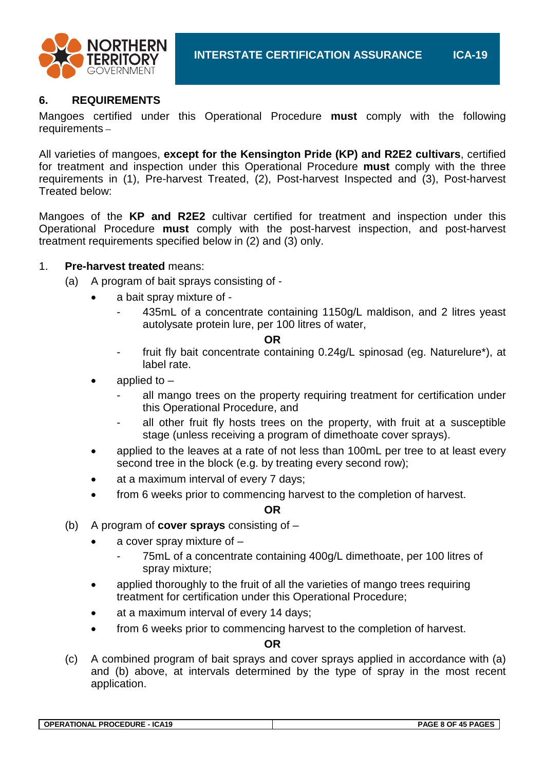



#### **6. REQUIREMENTS**

Mangoes certified under this Operational Procedure **must** comply with the following requirements –

All varieties of mangoes, **except for the Kensington Pride (KP) and R2E2 cultivars**, certified for treatment and inspection under this Operational Procedure **must** comply with the three requirements in (1), Pre-harvest Treated, (2), Post-harvest Inspected and (3), Post-harvest Treated below:

Mangoes of the **KP and R2E2** cultivar certified for treatment and inspection under this Operational Procedure **must** comply with the post-harvest inspection, and post-harvest treatment requirements specified below in (2) and (3) only.

#### 1. **Pre-harvest treated** means:

- (a) A program of bait sprays consisting of
	- a bait spray mixture of
		- 435mL of a concentrate containing 1150g/L maldison, and 2 litres yeast autolysate protein lure, per 100 litres of water,

#### **OR**

- fruit fly bait concentrate containing 0.24g/L spinosad (eg. Naturelure\*), at label rate.
- applied to
	- all mango trees on the property requiring treatment for certification under this Operational Procedure, and
	- all other fruit fly hosts trees on the property, with fruit at a susceptible stage (unless receiving a program of dimethoate cover sprays).
- applied to the leaves at a rate of not less than 100mL per tree to at least every second tree in the block (e.g. by treating every second row);
- at a maximum interval of every 7 days;
- from 6 weeks prior to commencing harvest to the completion of harvest.

#### **OR**

- (b) A program of **cover sprays** consisting of
	- a cover spray mixture of  $-$ 
		- 75mL of a concentrate containing 400g/L dimethoate, per 100 litres of spray mixture;
	- applied thoroughly to the fruit of all the varieties of mango trees requiring treatment for certification under this Operational Procedure;
	- at a maximum interval of every 14 days;
	- from 6 weeks prior to commencing harvest to the completion of harvest.

#### **OR**

(c) A combined program of bait sprays and cover sprays applied in accordance with (a) and (b) above, at intervals determined by the type of spray in the most recent application.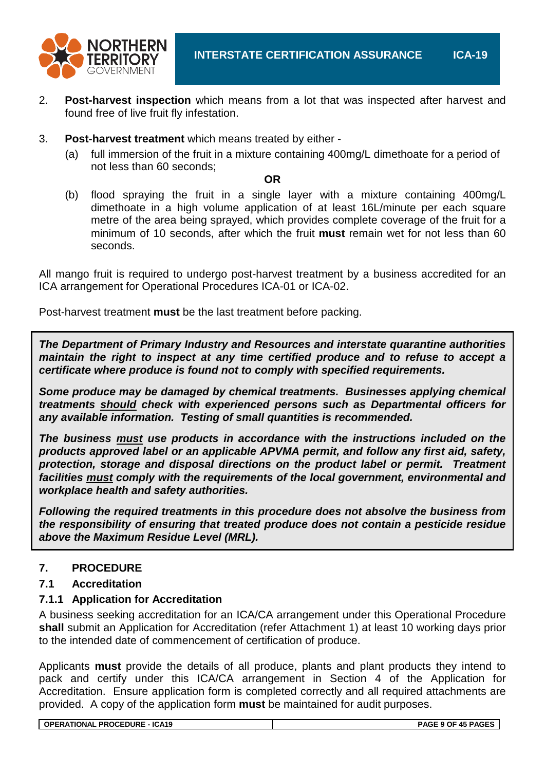

- 2. **Post-harvest inspection** which means from a lot that was inspected after harvest and found free of live fruit fly infestation.
- 3. **Post-harvest treatment** which means treated by either
	- (a) full immersion of the fruit in a mixture containing 400mg/L dimethoate for a period of not less than 60 seconds;

**OR**

(b) flood spraying the fruit in a single layer with a mixture containing 400mg/L dimethoate in a high volume application of at least 16L/minute per each square metre of the area being sprayed, which provides complete coverage of the fruit for a minimum of 10 seconds, after which the fruit **must** remain wet for not less than 60 seconds.

All mango fruit is required to undergo post-harvest treatment by a business accredited for an ICA arrangement for Operational Procedures ICA-01 or ICA-02.

Post-harvest treatment **must** be the last treatment before packing.

*The Department of Primary Industry and Resources and interstate quarantine authorities maintain the right to inspect at any time certified produce and to refuse to accept a certificate where produce is found not to comply with specified requirements.*

*Some produce may be damaged by chemical treatments. Businesses applying chemical treatments should check with experienced persons such as Departmental officers for any available information. Testing of small quantities is recommended.*

*The business must use products in accordance with the instructions included on the products approved label or an applicable APVMA permit, and follow any first aid, safety, protection, storage and disposal directions on the product label or permit. Treatment facilities must comply with the requirements of the local government, environmental and workplace health and safety authorities.*

*Following the required treatments in this procedure does not absolve the business from the responsibility of ensuring that treated produce does not contain a pesticide residue above the Maximum Residue Level (MRL).*

### **7. PROCEDURE**

#### **7.1 Accreditation**

#### **7.1.1 Application for Accreditation**

A business seeking accreditation for an ICA/CA arrangement under this Operational Procedure **shall** submit an Application for Accreditation (refer Attachment 1) at least 10 working days prior to the intended date of commencement of certification of produce.

Applicants **must** provide the details of all produce, plants and plant products they intend to pack and certify under this ICA/CA arrangement in Section 4 of the Application for Accreditation. Ensure application form is completed correctly and all required attachments are provided. A copy of the application form **must** be maintained for audit purposes.

**OPERATIONAL PROCEDURE - ICA19 PAGE 9 OF 45 PAGES**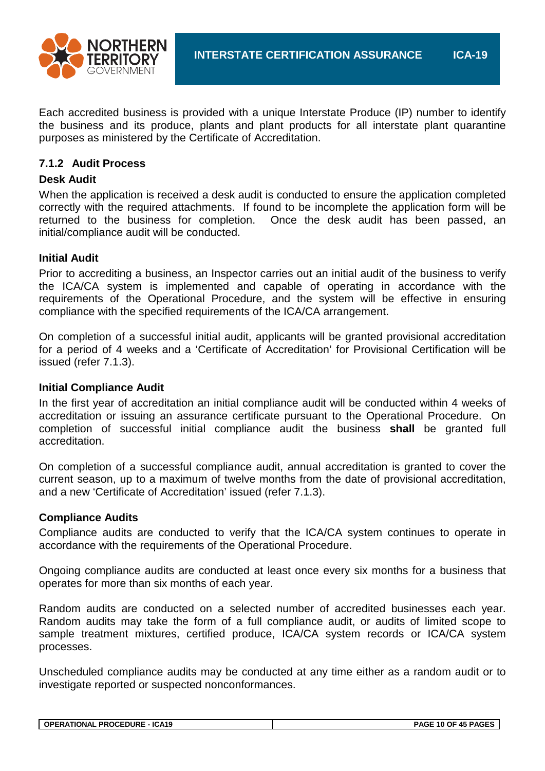

Each accredited business is provided with a unique Interstate Produce (IP) number to identify the business and its produce, plants and plant products for all interstate plant quarantine purposes as ministered by the Certificate of Accreditation.

#### **7.1.2 Audit Process**

#### **Desk Audit**

When the application is received a desk audit is conducted to ensure the application completed correctly with the required attachments. If found to be incomplete the application form will be returned to the business for completion. Once the desk audit has been passed, an initial/compliance audit will be conducted.

#### **Initial Audit**

Prior to accrediting a business, an Inspector carries out an initial audit of the business to verify the ICA/CA system is implemented and capable of operating in accordance with the requirements of the Operational Procedure, and the system will be effective in ensuring compliance with the specified requirements of the ICA/CA arrangement.

On completion of a successful initial audit, applicants will be granted provisional accreditation for a period of 4 weeks and a 'Certificate of Accreditation' for Provisional Certification will be issued (refer 7.1.3).

#### **Initial Compliance Audit**

In the first year of accreditation an initial compliance audit will be conducted within 4 weeks of accreditation or issuing an assurance certificate pursuant to the Operational Procedure. On completion of successful initial compliance audit the business **shall** be granted full accreditation.

On completion of a successful compliance audit, annual accreditation is granted to cover the current season, up to a maximum of twelve months from the date of provisional accreditation, and a new 'Certificate of Accreditation' issued (refer 7.1.3).

#### **Compliance Audits**

Compliance audits are conducted to verify that the ICA/CA system continues to operate in accordance with the requirements of the Operational Procedure.

Ongoing compliance audits are conducted at least once every six months for a business that operates for more than six months of each year.

Random audits are conducted on a selected number of accredited businesses each year. Random audits may take the form of a full compliance audit, or audits of limited scope to sample treatment mixtures, certified produce, ICA/CA system records or ICA/CA system processes.

Unscheduled compliance audits may be conducted at any time either as a random audit or to investigate reported or suspected nonconformances.

| <b>OPERATIONAL PROCEDURE - ICA19</b> |  |
|--------------------------------------|--|
|--------------------------------------|--|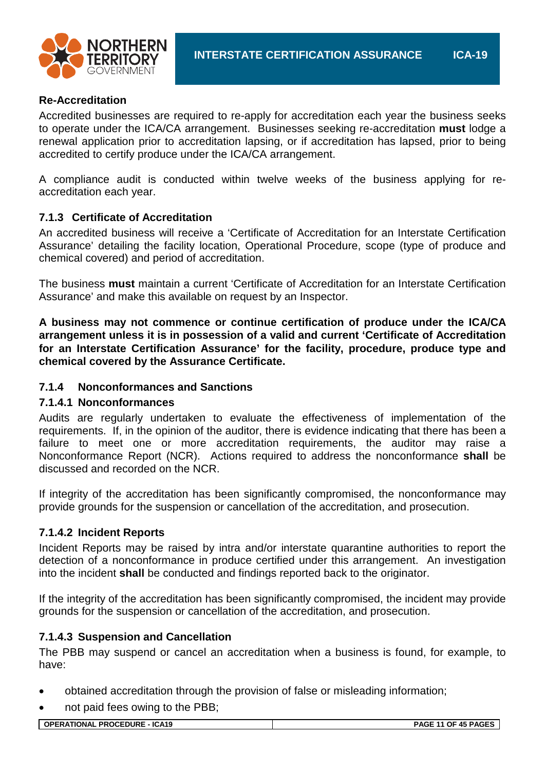

#### **Re-Accreditation**

Accredited businesses are required to re-apply for accreditation each year the business seeks to operate under the ICA/CA arrangement. Businesses seeking re-accreditation **must** lodge a renewal application prior to accreditation lapsing, or if accreditation has lapsed, prior to being accredited to certify produce under the ICA/CA arrangement.

A compliance audit is conducted within twelve weeks of the business applying for reaccreditation each year.

#### **7.1.3 Certificate of Accreditation**

An accredited business will receive a 'Certificate of Accreditation for an Interstate Certification Assurance' detailing the facility location, Operational Procedure, scope (type of produce and chemical covered) and period of accreditation.

The business **must** maintain a current 'Certificate of Accreditation for an Interstate Certification Assurance' and make this available on request by an Inspector.

**A business may not commence or continue certification of produce under the ICA/CA arrangement unless it is in possession of a valid and current 'Certificate of Accreditation for an Interstate Certification Assurance' for the facility, procedure, produce type and chemical covered by the Assurance Certificate.**

#### **7.1.4 Nonconformances and Sanctions**

#### **7.1.4.1 Nonconformances**

Audits are regularly undertaken to evaluate the effectiveness of implementation of the requirements. If, in the opinion of the auditor, there is evidence indicating that there has been a failure to meet one or more accreditation requirements, the auditor may raise a Nonconformance Report (NCR). Actions required to address the nonconformance **shall** be discussed and recorded on the NCR.

If integrity of the accreditation has been significantly compromised, the nonconformance may provide grounds for the suspension or cancellation of the accreditation, and prosecution.

#### **7.1.4.2 Incident Reports**

Incident Reports may be raised by intra and/or interstate quarantine authorities to report the detection of a nonconformance in produce certified under this arrangement. An investigation into the incident **shall** be conducted and findings reported back to the originator.

If the integrity of the accreditation has been significantly compromised, the incident may provide grounds for the suspension or cancellation of the accreditation, and prosecution.

#### **7.1.4.3 Suspension and Cancellation**

The PBB may suspend or cancel an accreditation when a business is found, for example, to have:

- obtained accreditation through the provision of false or misleading information;
- not paid fees owing to the PBB;

**OPERATIONAL PROCEDURE - ICA19 PAGE 11 OF 45 PAGES**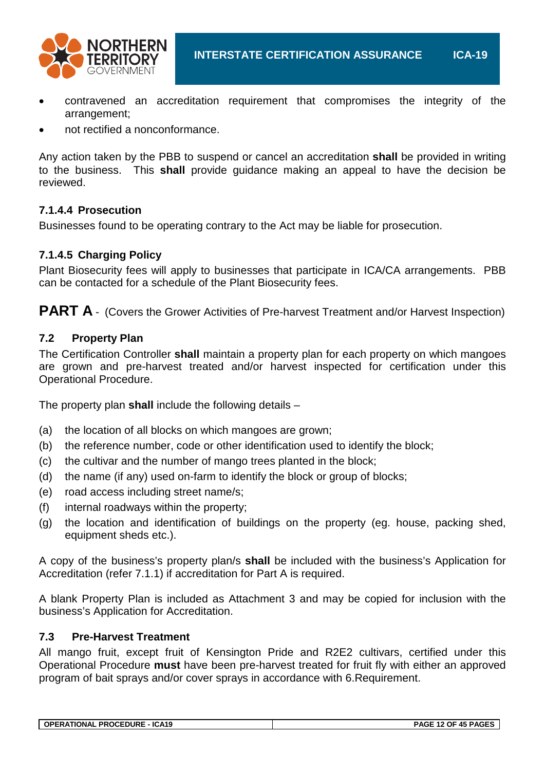

- contravened an accreditation requirement that compromises the integrity of the arrangement;
- not rectified a nonconformance.

Any action taken by the PBB to suspend or cancel an accreditation **shall** be provided in writing to the business. This **shall** provide guidance making an appeal to have the decision be reviewed.

#### **7.1.4.4 Prosecution**

Businesses found to be operating contrary to the Act may be liable for prosecution.

#### **7.1.4.5 Charging Policy**

Plant Biosecurity fees will apply to businesses that participate in ICA/CA arrangements. PBB can be contacted for a schedule of the Plant Biosecurity fees.

**PART A** - (Covers the Grower Activities of Pre-harvest Treatment and/or Harvest Inspection)

#### **7.2 Property Plan**

The Certification Controller **shall** maintain a property plan for each property on which mangoes are grown and pre-harvest treated and/or harvest inspected for certification under this Operational Procedure.

The property plan **shall** include the following details –

- (a) the location of all blocks on which mangoes are grown;
- (b) the reference number, code or other identification used to identify the block;
- (c) the cultivar and the number of mango trees planted in the block;
- (d) the name (if any) used on-farm to identify the block or group of blocks;
- (e) road access including street name/s;
- (f) internal roadways within the property;
- (g) the location and identification of buildings on the property (eg. house, packing shed, equipment sheds etc.).

A copy of the business's property plan/s **shall** be included with the business's Application for Accreditation (refer 7.1.1) if accreditation for Part A is required.

A blank Property Plan is included as Attachment 3 and may be copied for inclusion with the business's Application for Accreditation.

#### **7.3 Pre-Harvest Treatment**

All mango fruit, except fruit of Kensington Pride and R2E2 cultivars, certified under this Operational Procedure **must** have been pre-harvest treated for fruit fly with either an approved program of bait sprays and/or cover sprays in accordance with 6.Requirement.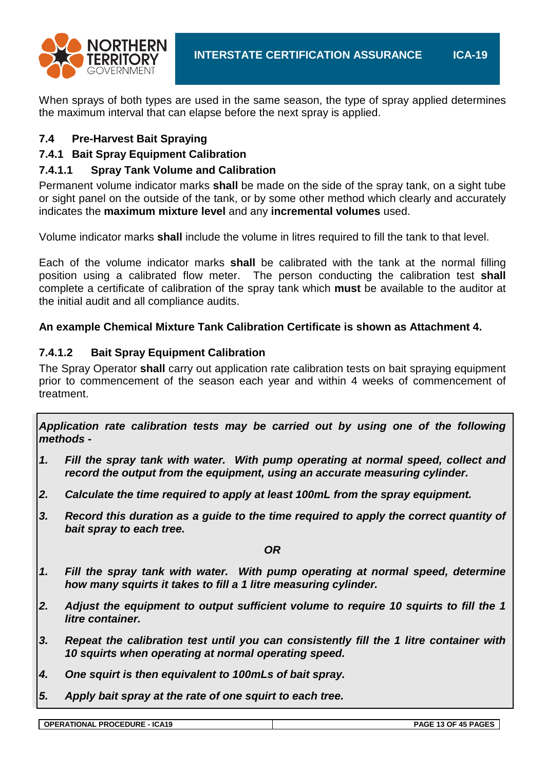

When sprays of both types are used in the same season, the type of spray applied determines the maximum interval that can elapse before the next spray is applied.

#### **7.4 Pre-Harvest Bait Spraying**

#### **7.4.1 Bait Spray Equipment Calibration**

#### **7.4.1.1 Spray Tank Volume and Calibration**

Permanent volume indicator marks **shall** be made on the side of the spray tank, on a sight tube or sight panel on the outside of the tank, or by some other method which clearly and accurately indicates the **maximum mixture level** and any **incremental volumes** used.

Volume indicator marks **shall** include the volume in litres required to fill the tank to that level.

Each of the volume indicator marks **shall** be calibrated with the tank at the normal filling position using a calibrated flow meter. The person conducting the calibration test **shall** complete a certificate of calibration of the spray tank which **must** be available to the auditor at the initial audit and all compliance audits.

#### **An example Chemical Mixture Tank Calibration Certificate is shown as Attachment 4.**

#### **7.4.1.2 Bait Spray Equipment Calibration**

The Spray Operator **shall** carry out application rate calibration tests on bait spraying equipment prior to commencement of the season each year and within 4 weeks of commencement of treatment.

*Application rate calibration tests may be carried out by using one of the following methods -*

- *1. Fill the spray tank with water. With pump operating at normal speed, collect and record the output from the equipment, using an accurate measuring cylinder.*
- *2. Calculate the time required to apply at least 100mL from the spray equipment.*
- *3. Record this duration as a guide to the time required to apply the correct quantity of bait spray to each tree.*

*OR*

- *1. Fill the spray tank with water. With pump operating at normal speed, determine how many squirts it takes to fill a 1 litre measuring cylinder.*
- *2. Adjust the equipment to output sufficient volume to require 10 squirts to fill the 1 litre container.*
- *3. Repeat the calibration test until you can consistently fill the 1 litre container with 10 squirts when operating at normal operating speed.*
- *4. One squirt is then equivalent to 100mLs of bait spray.*
- *5. Apply bait spray at the rate of one squirt to each tree.*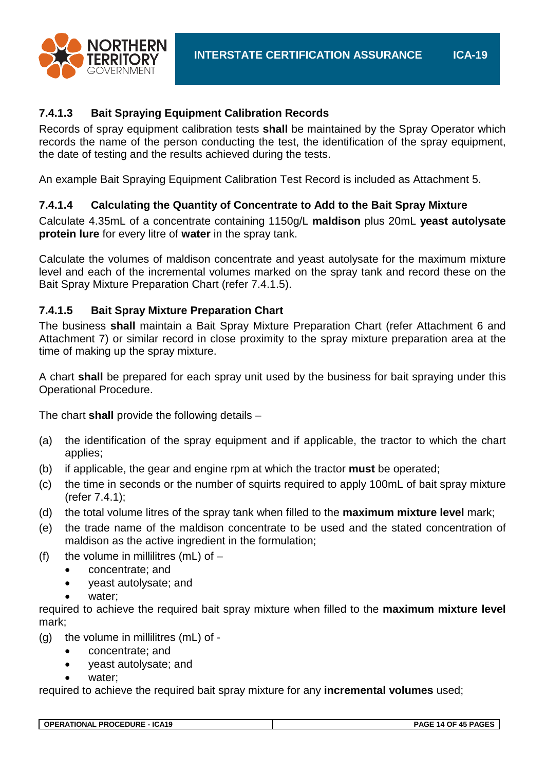



### **7.4.1.3 Bait Spraying Equipment Calibration Records**

Records of spray equipment calibration tests **shall** be maintained by the Spray Operator which records the name of the person conducting the test, the identification of the spray equipment, the date of testing and the results achieved during the tests.

An example Bait Spraying Equipment Calibration Test Record is included as Attachment 5.

### **7.4.1.4 Calculating the Quantity of Concentrate to Add to the Bait Spray Mixture**

Calculate 4.35mL of a concentrate containing 1150g/L **maldison** plus 20mL **yeast autolysate protein lure** for every litre of **water** in the spray tank.

Calculate the volumes of maldison concentrate and yeast autolysate for the maximum mixture level and each of the incremental volumes marked on the spray tank and record these on the Bait Spray Mixture Preparation Chart (refer 7.4.1.5).

#### **7.4.1.5 Bait Spray Mixture Preparation Chart**

The business **shall** maintain a Bait Spray Mixture Preparation Chart (refer Attachment 6 and Attachment 7) or similar record in close proximity to the spray mixture preparation area at the time of making up the spray mixture.

A chart **shall** be prepared for each spray unit used by the business for bait spraying under this Operational Procedure.

The chart **shall** provide the following details –

- (a) the identification of the spray equipment and if applicable, the tractor to which the chart applies;
- (b) if applicable, the gear and engine rpm at which the tractor **must** be operated;
- (c) the time in seconds or the number of squirts required to apply 100mL of bait spray mixture (refer 7.4.1);
- (d) the total volume litres of the spray tank when filled to the **maximum mixture level** mark;
- (e) the trade name of the maldison concentrate to be used and the stated concentration of maldison as the active ingredient in the formulation;
- (f) the volume in millilitres (mL) of  $-$ 
	- concentrate; and
	- yeast autolysate; and
	- water:

required to achieve the required bait spray mixture when filled to the **maximum mixture level** mark;

- (g) the volume in millilitres (mL) of
	- concentrate; and
	- yeast autolysate; and
	- water:

required to achieve the required bait spray mixture for any **incremental volumes** used;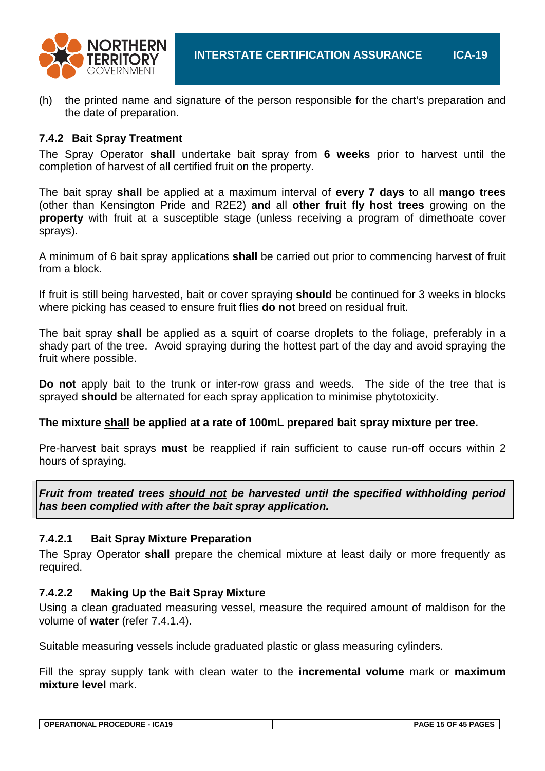

(h) the printed name and signature of the person responsible for the chart's preparation and the date of preparation.

#### **7.4.2 Bait Spray Treatment**

The Spray Operator **shall** undertake bait spray from **6 weeks** prior to harvest until the completion of harvest of all certified fruit on the property.

The bait spray **shall** be applied at a maximum interval of **every 7 days** to all **mango trees** (other than Kensington Pride and R2E2) **and** all **other fruit fly host trees** growing on the **property** with fruit at a susceptible stage (unless receiving a program of dimethoate cover sprays).

A minimum of 6 bait spray applications **shall** be carried out prior to commencing harvest of fruit from a block.

If fruit is still being harvested, bait or cover spraying **should** be continued for 3 weeks in blocks where picking has ceased to ensure fruit flies **do not** breed on residual fruit.

The bait spray **shall** be applied as a squirt of coarse droplets to the foliage, preferably in a shady part of the tree. Avoid spraying during the hottest part of the day and avoid spraying the fruit where possible.

**Do not** apply bait to the trunk or inter-row grass and weeds. The side of the tree that is sprayed **should** be alternated for each spray application to minimise phytotoxicity.

#### **The mixture shall be applied at a rate of 100mL prepared bait spray mixture per tree.**

Pre-harvest bait sprays **must** be reapplied if rain sufficient to cause run-off occurs within 2 hours of spraying.

*Fruit from treated trees should not be harvested until the specified withholding period has been complied with after the bait spray application.*

#### **7.4.2.1 Bait Spray Mixture Preparation**

The Spray Operator **shall** prepare the chemical mixture at least daily or more frequently as required.

#### **7.4.2.2 Making Up the Bait Spray Mixture**

Using a clean graduated measuring vessel, measure the required amount of maldison for the volume of **water** (refer 7.4.1.4).

Suitable measuring vessels include graduated plastic or glass measuring cylinders.

Fill the spray supply tank with clean water to the **incremental volume** mark or **maximum mixture level** mark.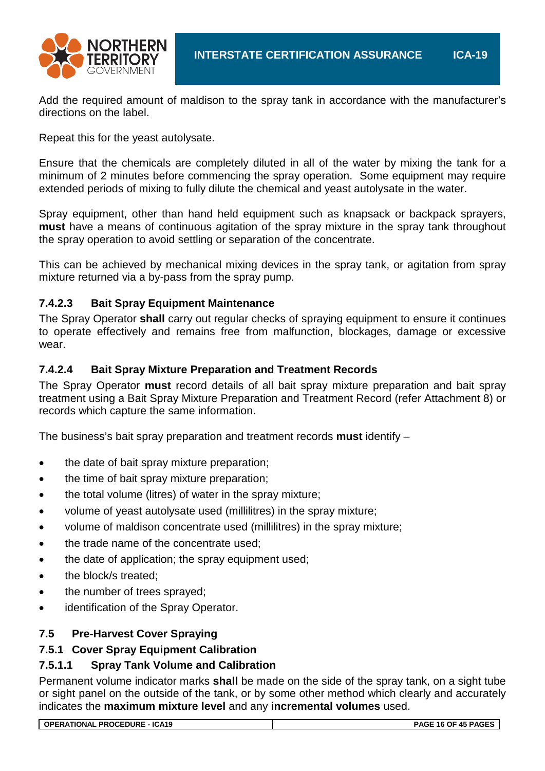

Add the required amount of maldison to the spray tank in accordance with the manufacturer's directions on the label.

Repeat this for the yeast autolysate.

Ensure that the chemicals are completely diluted in all of the water by mixing the tank for a minimum of 2 minutes before commencing the spray operation. Some equipment may require extended periods of mixing to fully dilute the chemical and yeast autolysate in the water.

Spray equipment, other than hand held equipment such as knapsack or backpack sprayers, **must** have a means of continuous agitation of the spray mixture in the spray tank throughout the spray operation to avoid settling or separation of the concentrate.

This can be achieved by mechanical mixing devices in the spray tank, or agitation from spray mixture returned via a by-pass from the spray pump.

#### **7.4.2.3 Bait Spray Equipment Maintenance**

The Spray Operator **shall** carry out regular checks of spraying equipment to ensure it continues to operate effectively and remains free from malfunction, blockages, damage or excessive wear.

#### **7.4.2.4 Bait Spray Mixture Preparation and Treatment Records**

The Spray Operator **must** record details of all bait spray mixture preparation and bait spray treatment using a Bait Spray Mixture Preparation and Treatment Record (refer Attachment 8) or records which capture the same information.

The business's bait spray preparation and treatment records **must** identify –

- the date of bait spray mixture preparation;
- the time of bait spray mixture preparation;
- the total volume (litres) of water in the spray mixture;
- volume of yeast autolysate used (millilitres) in the spray mixture;
- volume of maldison concentrate used (millilitres) in the spray mixture:
- the trade name of the concentrate used;
- the date of application: the spray equipment used:
- the block/s treated;
- the number of trees sprayed:
- identification of the Spray Operator.

#### **7.5 Pre-Harvest Cover Spraying**

### **7.5.1 Cover Spray Equipment Calibration**

#### **7.5.1.1 Spray Tank Volume and Calibration**

Permanent volume indicator marks **shall** be made on the side of the spray tank, on a sight tube or sight panel on the outside of the tank, or by some other method which clearly and accurately indicates the **maximum mixture level** and any **incremental volumes** used.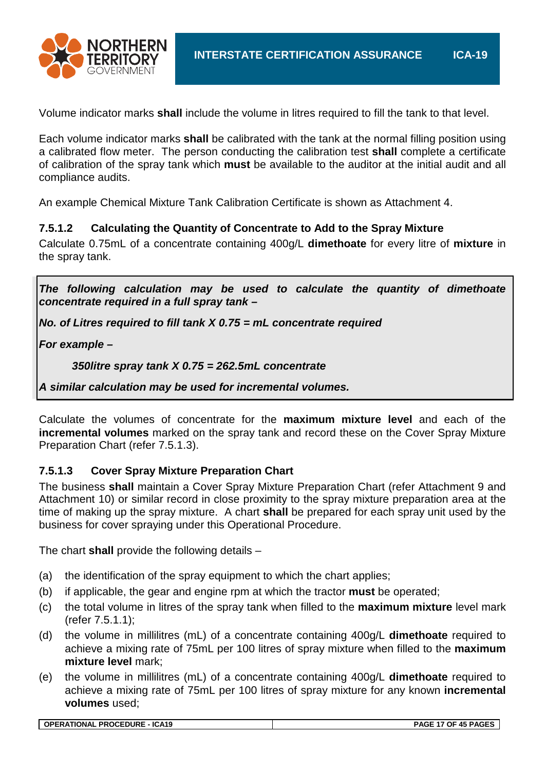

Volume indicator marks **shall** include the volume in litres required to fill the tank to that level.

Each volume indicator marks **shall** be calibrated with the tank at the normal filling position using a calibrated flow meter. The person conducting the calibration test **shall** complete a certificate of calibration of the spray tank which **must** be available to the auditor at the initial audit and all compliance audits.

An example Chemical Mixture Tank Calibration Certificate is shown as Attachment 4.

#### **7.5.1.2 Calculating the Quantity of Concentrate to Add to the Spray Mixture**

Calculate 0.75mL of a concentrate containing 400g/L **dimethoate** for every litre of **mixture** in the spray tank.

*The following calculation may be used to calculate the quantity of dimethoate concentrate required in a full spray tank –*

*No. of Litres required to fill tank X 0.75 = mL concentrate required* 

*For example –*

*350litre spray tank X 0.75 = 262.5mL concentrate*

*A similar calculation may be used for incremental volumes.*

Calculate the volumes of concentrate for the **maximum mixture level** and each of the **incremental volumes** marked on the spray tank and record these on the Cover Spray Mixture Preparation Chart (refer 7.5.1.3).

#### **7.5.1.3 Cover Spray Mixture Preparation Chart**

The business **shall** maintain a Cover Spray Mixture Preparation Chart (refer Attachment 9 and Attachment 10) or similar record in close proximity to the spray mixture preparation area at the time of making up the spray mixture. A chart **shall** be prepared for each spray unit used by the business for cover spraying under this Operational Procedure.

The chart **shall** provide the following details –

- (a) the identification of the spray equipment to which the chart applies;
- (b) if applicable, the gear and engine rpm at which the tractor **must** be operated;
- (c) the total volume in litres of the spray tank when filled to the **maximum mixture** level mark (refer 7.5.1.1);
- (d) the volume in millilitres (mL) of a concentrate containing 400g/L **dimethoate** required to achieve a mixing rate of 75mL per 100 litres of spray mixture when filled to the **maximum mixture level** mark;
- (e) the volume in millilitres (mL) of a concentrate containing 400g/L **dimethoate** required to achieve a mixing rate of 75mL per 100 litres of spray mixture for any known **incremental volumes** used;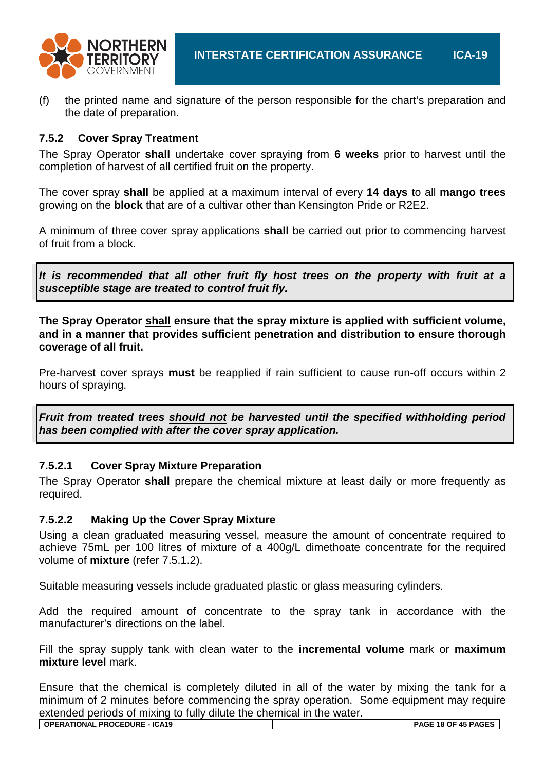

(f) the printed name and signature of the person responsible for the chart's preparation and the date of preparation.

#### **7.5.2 Cover Spray Treatment**

The Spray Operator **shall** undertake cover spraying from **6 weeks** prior to harvest until the completion of harvest of all certified fruit on the property.

The cover spray **shall** be applied at a maximum interval of every **14 days** to all **mango trees** growing on the **block** that are of a cultivar other than Kensington Pride or R2E2.

A minimum of three cover spray applications **shall** be carried out prior to commencing harvest of fruit from a block.

*It is recommended that all other fruit fly host trees on the property with fruit at a susceptible stage are treated to control fruit fly.*

**The Spray Operator shall ensure that the spray mixture is applied with sufficient volume, and in a manner that provides sufficient penetration and distribution to ensure thorough coverage of all fruit.**

Pre-harvest cover sprays **must** be reapplied if rain sufficient to cause run-off occurs within 2 hours of spraying.

*Fruit from treated trees should not be harvested until the specified withholding period has been complied with after the cover spray application.*

#### **7.5.2.1 Cover Spray Mixture Preparation**

The Spray Operator **shall** prepare the chemical mixture at least daily or more frequently as required.

#### **7.5.2.2 Making Up the Cover Spray Mixture**

Using a clean graduated measuring vessel, measure the amount of concentrate required to achieve 75mL per 100 litres of mixture of a 400g/L dimethoate concentrate for the required volume of **mixture** (refer 7.5.1.2).

Suitable measuring vessels include graduated plastic or glass measuring cylinders.

Add the required amount of concentrate to the spray tank in accordance with the manufacturer's directions on the label.

Fill the spray supply tank with clean water to the **incremental volume** mark or **maximum mixture level** mark.

Ensure that the chemical is completely diluted in all of the water by mixing the tank for a minimum of 2 minutes before commencing the spray operation. Some equipment may require extended periods of mixing to fully dilute the chemical in the water.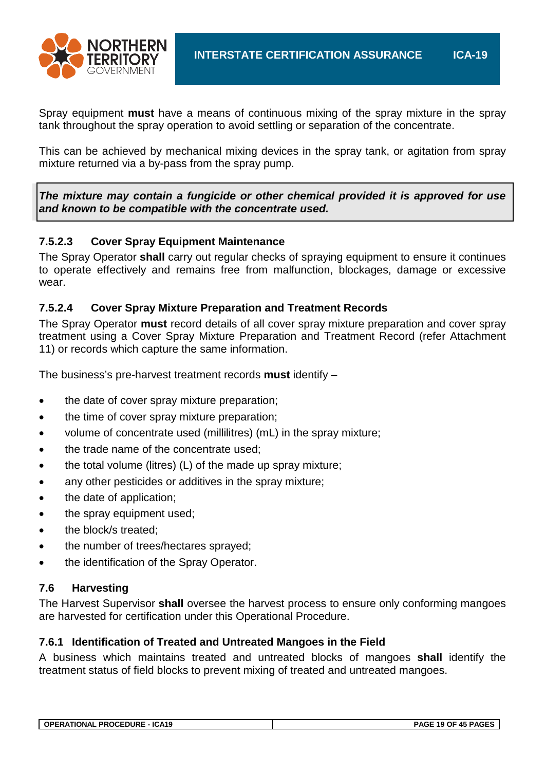

Spray equipment **must** have a means of continuous mixing of the spray mixture in the spray tank throughout the spray operation to avoid settling or separation of the concentrate.

This can be achieved by mechanical mixing devices in the spray tank, or agitation from spray mixture returned via a by-pass from the spray pump.

*The mixture may contain a fungicide or other chemical provided it is approved for use and known to be compatible with the concentrate used.*

#### **7.5.2.3 Cover Spray Equipment Maintenance**

The Spray Operator **shall** carry out regular checks of spraying equipment to ensure it continues to operate effectively and remains free from malfunction, blockages, damage or excessive wear.

#### **7.5.2.4 Cover Spray Mixture Preparation and Treatment Records**

The Spray Operator **must** record details of all cover spray mixture preparation and cover spray treatment using a Cover Spray Mixture Preparation and Treatment Record (refer Attachment 11) or records which capture the same information.

The business's pre-harvest treatment records **must** identify –

- the date of cover spray mixture preparation;
- the time of cover spray mixture preparation;
- volume of concentrate used (millilitres) (mL) in the spray mixture;
- the trade name of the concentrate used;
- the total volume (litres) (L) of the made up spray mixture;
- any other pesticides or additives in the spray mixture;
- the date of application:
- the spray equipment used;
- the block/s treated:
- the number of trees/hectares sprayed;
- the identification of the Spray Operator.

#### **7.6 Harvesting**

The Harvest Supervisor **shall** oversee the harvest process to ensure only conforming mangoes are harvested for certification under this Operational Procedure.

#### **7.6.1 Identification of Treated and Untreated Mangoes in the Field**

A business which maintains treated and untreated blocks of mangoes **shall** identify the treatment status of field blocks to prevent mixing of treated and untreated mangoes.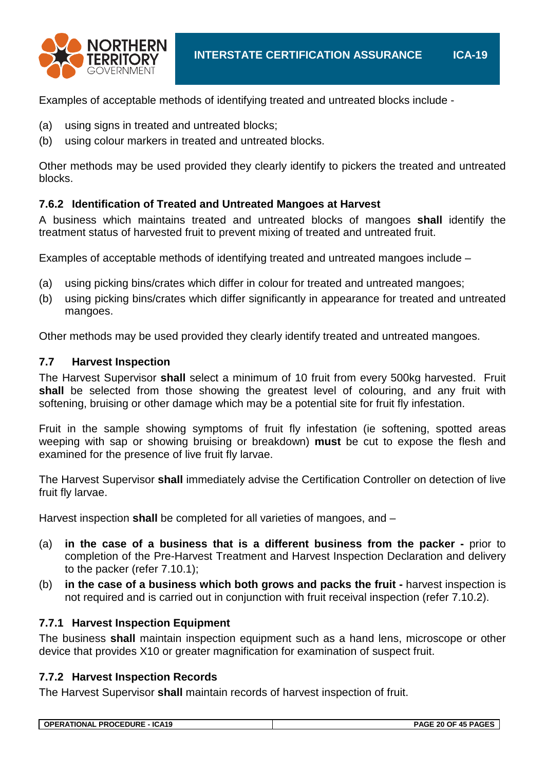

Examples of acceptable methods of identifying treated and untreated blocks include -

- (a) using signs in treated and untreated blocks;
- (b) using colour markers in treated and untreated blocks.

Other methods may be used provided they clearly identify to pickers the treated and untreated blocks.

#### **7.6.2 Identification of Treated and Untreated Mangoes at Harvest**

A business which maintains treated and untreated blocks of mangoes **shall** identify the treatment status of harvested fruit to prevent mixing of treated and untreated fruit.

Examples of acceptable methods of identifying treated and untreated mangoes include –

- (a) using picking bins/crates which differ in colour for treated and untreated mangoes;
- (b) using picking bins/crates which differ significantly in appearance for treated and untreated mangoes.

Other methods may be used provided they clearly identify treated and untreated mangoes.

#### **7.7 Harvest Inspection**

The Harvest Supervisor **shall** select a minimum of 10 fruit from every 500kg harvested. Fruit **shall** be selected from those showing the greatest level of colouring, and any fruit with softening, bruising or other damage which may be a potential site for fruit fly infestation.

Fruit in the sample showing symptoms of fruit fly infestation (ie softening, spotted areas weeping with sap or showing bruising or breakdown) **must** be cut to expose the flesh and examined for the presence of live fruit fly larvae.

The Harvest Supervisor **shall** immediately advise the Certification Controller on detection of live fruit fly larvae.

Harvest inspection **shall** be completed for all varieties of mangoes, and –

- (a) **in the case of a business that is a different business from the packer -** prior to completion of the Pre-Harvest Treatment and Harvest Inspection Declaration and delivery to the packer (refer 7.10.1);
- (b) **in the case of a business which both grows and packs the fruit -** harvest inspection is not required and is carried out in conjunction with fruit receival inspection (refer 7.10.2).

#### **7.7.1 Harvest Inspection Equipment**

The business **shall** maintain inspection equipment such as a hand lens, microscope or other device that provides X10 or greater magnification for examination of suspect fruit.

#### **7.7.2 Harvest Inspection Records**

The Harvest Supervisor **shall** maintain records of harvest inspection of fruit.

**OPERATIONAL PROCEDURE - ICA19 PAGE 20 OF 45 PAGES**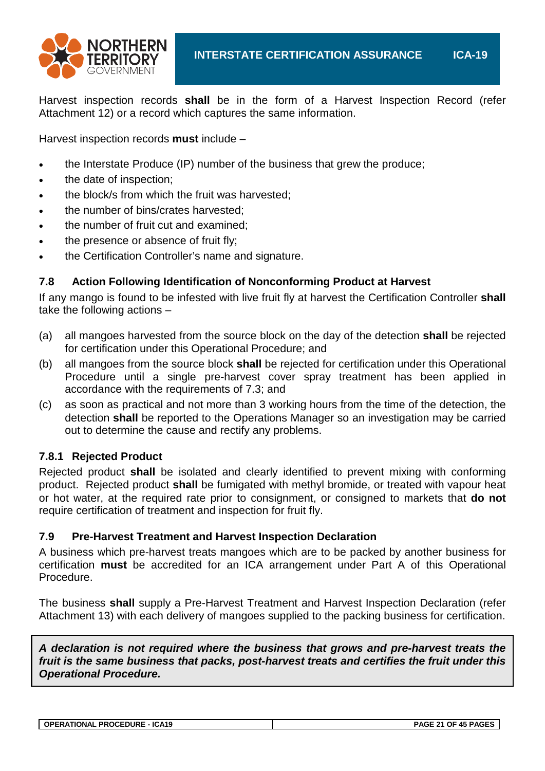

Harvest inspection records **shall** be in the form of a Harvest Inspection Record (refer Attachment 12) or a record which captures the same information.

Harvest inspection records **must** include –

- the Interstate Produce (IP) number of the business that grew the produce;
- the date of inspection;
- the block/s from which the fruit was harvested;
- the number of bins/crates harvested;
- the number of fruit cut and examined;
- the presence or absence of fruit fly:
- the Certification Controller's name and signature.

#### **7.8 Action Following Identification of Nonconforming Product at Harvest**

If any mango is found to be infested with live fruit fly at harvest the Certification Controller **shall** take the following actions –

- (a) all mangoes harvested from the source block on the day of the detection **shall** be rejected for certification under this Operational Procedure; and
- (b) all mangoes from the source block **shall** be rejected for certification under this Operational Procedure until a single pre-harvest cover spray treatment has been applied in accordance with the requirements of 7.3; and
- (c) as soon as practical and not more than 3 working hours from the time of the detection, the detection **shall** be reported to the Operations Manager so an investigation may be carried out to determine the cause and rectify any problems.

#### **7.8.1 Rejected Product**

Rejected product **shall** be isolated and clearly identified to prevent mixing with conforming product. Rejected product **shall** be fumigated with methyl bromide, or treated with vapour heat or hot water, at the required rate prior to consignment, or consigned to markets that **do not** require certification of treatment and inspection for fruit fly.

#### **7.9 Pre-Harvest Treatment and Harvest Inspection Declaration**

A business which pre-harvest treats mangoes which are to be packed by another business for certification **must** be accredited for an ICA arrangement under Part A of this Operational Procedure.

The business **shall** supply a Pre-Harvest Treatment and Harvest Inspection Declaration (refer Attachment 13) with each delivery of mangoes supplied to the packing business for certification.

*A declaration is not required where the business that grows and pre-harvest treats the fruit is the same business that packs, post-harvest treats and certifies the fruit under this Operational Procedure.*

**OPERATIONAL PROCEDURE - ICA19 PAGE 21 OF 45 PAGES**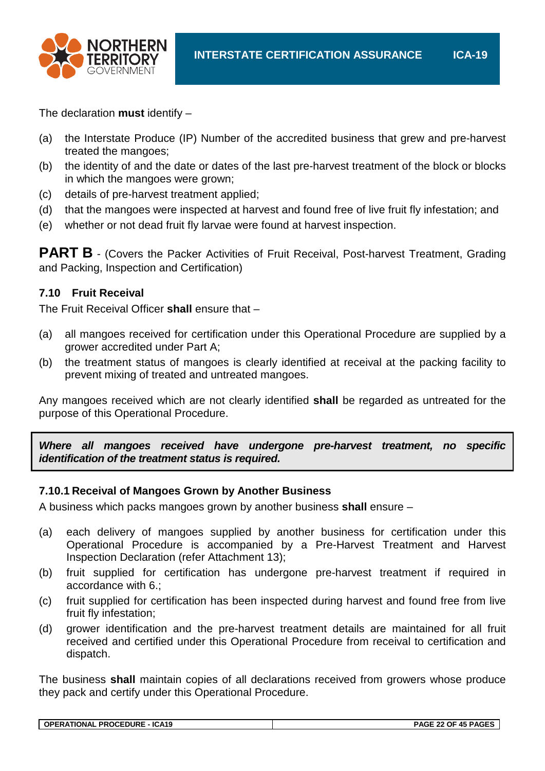

The declaration **must** identify –

- (a) the Interstate Produce (IP) Number of the accredited business that grew and pre-harvest treated the mangoes;
- (b) the identity of and the date or dates of the last pre-harvest treatment of the block or blocks in which the mangoes were grown;
- (c) details of pre-harvest treatment applied;
- (d) that the mangoes were inspected at harvest and found free of live fruit fly infestation; and
- (e) whether or not dead fruit fly larvae were found at harvest inspection.

**PART B** - (Covers the Packer Activities of Fruit Receival, Post-harvest Treatment, Grading and Packing, Inspection and Certification)

#### **7.10 Fruit Receival**

The Fruit Receival Officer **shall** ensure that –

- (a) all mangoes received for certification under this Operational Procedure are supplied by a grower accredited under Part A;
- (b) the treatment status of mangoes is clearly identified at receival at the packing facility to prevent mixing of treated and untreated mangoes.

Any mangoes received which are not clearly identified **shall** be regarded as untreated for the purpose of this Operational Procedure.

*Where all mangoes received have undergone pre-harvest treatment, no specific identification of the treatment status is required.*

#### **7.10.1 Receival of Mangoes Grown by Another Business**

A business which packs mangoes grown by another business **shall** ensure –

- (a) each delivery of mangoes supplied by another business for certification under this Operational Procedure is accompanied by a Pre-Harvest Treatment and Harvest Inspection Declaration (refer Attachment 13);
- (b) fruit supplied for certification has undergone pre-harvest treatment if required in accordance with 6.;
- (c) fruit supplied for certification has been inspected during harvest and found free from live fruit fly infestation;
- (d) grower identification and the pre-harvest treatment details are maintained for all fruit received and certified under this Operational Procedure from receival to certification and dispatch.

The business **shall** maintain copies of all declarations received from growers whose produce they pack and certify under this Operational Procedure.

| OPERATIONAL PROCEDURE - ICA19 | PAGE 22 OF 45 PAGES |
|-------------------------------|---------------------|
|                               |                     |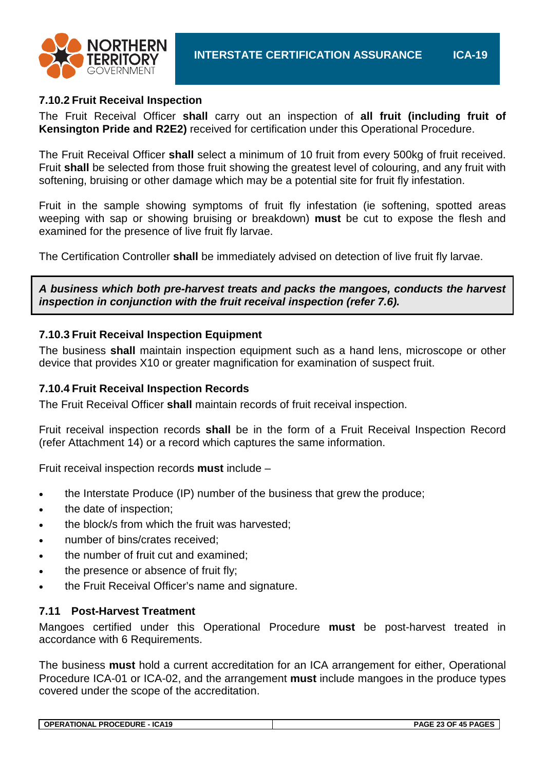

#### **7.10.2 Fruit Receival Inspection**

The Fruit Receival Officer **shall** carry out an inspection of **all fruit (including fruit of Kensington Pride and R2E2)** received for certification under this Operational Procedure.

The Fruit Receival Officer **shall** select a minimum of 10 fruit from every 500kg of fruit received. Fruit **shall** be selected from those fruit showing the greatest level of colouring, and any fruit with softening, bruising or other damage which may be a potential site for fruit fly infestation.

Fruit in the sample showing symptoms of fruit fly infestation (ie softening, spotted areas weeping with sap or showing bruising or breakdown) **must** be cut to expose the flesh and examined for the presence of live fruit fly larvae.

The Certification Controller **shall** be immediately advised on detection of live fruit fly larvae.

*A business which both pre-harvest treats and packs the mangoes, conducts the harvest inspection in conjunction with the fruit receival inspection (refer 7.6).*

#### **7.10.3 Fruit Receival Inspection Equipment**

The business **shall** maintain inspection equipment such as a hand lens, microscope or other device that provides X10 or greater magnification for examination of suspect fruit.

#### **7.10.4 Fruit Receival Inspection Records**

The Fruit Receival Officer **shall** maintain records of fruit receival inspection.

Fruit receival inspection records **shall** be in the form of a Fruit Receival Inspection Record (refer Attachment 14) or a record which captures the same information.

Fruit receival inspection records **must** include –

- the Interstate Produce (IP) number of the business that grew the produce;
- the date of inspection;
- the block/s from which the fruit was harvested;
- number of bins/crates received:
- the number of fruit cut and examined;
- the presence or absence of fruit fly:
- the Fruit Receival Officer's name and signature.

#### **7.11 Post-Harvest Treatment**

Mangoes certified under this Operational Procedure **must** be post-harvest treated in accordance with 6 Requirements.

The business **must** hold a current accreditation for an ICA arrangement for either, Operational Procedure ICA-01 or ICA-02, and the arrangement **must** include mangoes in the produce types covered under the scope of the accreditation.

|--|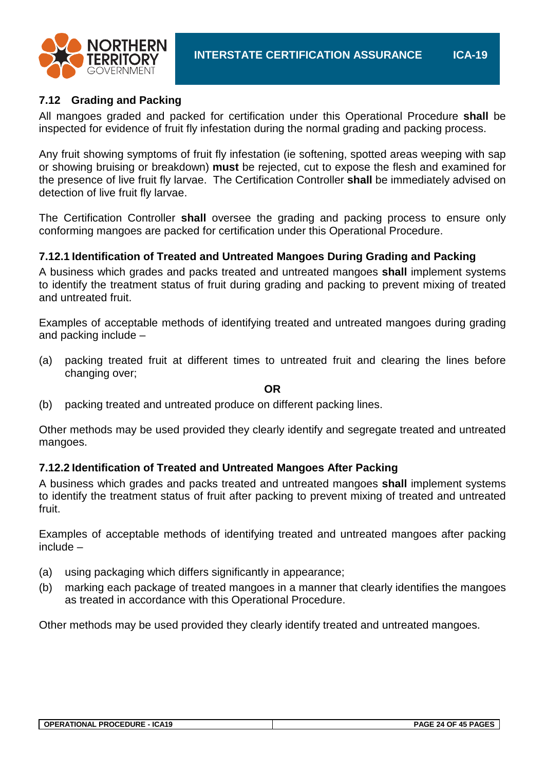

#### **7.12 Grading and Packing**

All mangoes graded and packed for certification under this Operational Procedure **shall** be inspected for evidence of fruit fly infestation during the normal grading and packing process.

Any fruit showing symptoms of fruit fly infestation (ie softening, spotted areas weeping with sap or showing bruising or breakdown) **must** be rejected, cut to expose the flesh and examined for the presence of live fruit fly larvae. The Certification Controller **shall** be immediately advised on detection of live fruit fly larvae.

The Certification Controller **shall** oversee the grading and packing process to ensure only conforming mangoes are packed for certification under this Operational Procedure.

#### **7.12.1 Identification of Treated and Untreated Mangoes During Grading and Packing**

A business which grades and packs treated and untreated mangoes **shall** implement systems to identify the treatment status of fruit during grading and packing to prevent mixing of treated and untreated fruit.

Examples of acceptable methods of identifying treated and untreated mangoes during grading and packing include –

(a) packing treated fruit at different times to untreated fruit and clearing the lines before changing over;

#### **OR**

(b) packing treated and untreated produce on different packing lines.

Other methods may be used provided they clearly identify and segregate treated and untreated mangoes.

#### **7.12.2 Identification of Treated and Untreated Mangoes After Packing**

A business which grades and packs treated and untreated mangoes **shall** implement systems to identify the treatment status of fruit after packing to prevent mixing of treated and untreated fruit.

Examples of acceptable methods of identifying treated and untreated mangoes after packing include –

- (a) using packaging which differs significantly in appearance;
- (b) marking each package of treated mangoes in a manner that clearly identifies the mangoes as treated in accordance with this Operational Procedure.

Other methods may be used provided they clearly identify treated and untreated mangoes.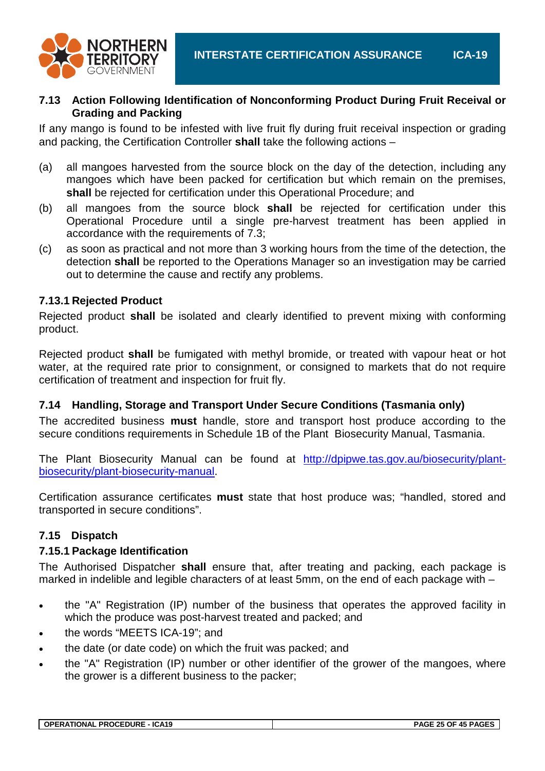

#### **7.13 Action Following Identification of Nonconforming Product During Fruit Receival or Grading and Packing**

If any mango is found to be infested with live fruit fly during fruit receival inspection or grading and packing, the Certification Controller **shall** take the following actions –

- (a) all mangoes harvested from the source block on the day of the detection, including any mangoes which have been packed for certification but which remain on the premises, **shall** be rejected for certification under this Operational Procedure; and
- (b) all mangoes from the source block **shall** be rejected for certification under this Operational Procedure until a single pre-harvest treatment has been applied in accordance with the requirements of 7.3;
- (c) as soon as practical and not more than 3 working hours from the time of the detection, the detection **shall** be reported to the Operations Manager so an investigation may be carried out to determine the cause and rectify any problems.

#### **7.13.1 Rejected Product**

Rejected product **shall** be isolated and clearly identified to prevent mixing with conforming product.

Rejected product **shall** be fumigated with methyl bromide, or treated with vapour heat or hot water, at the required rate prior to consignment, or consigned to markets that do not require certification of treatment and inspection for fruit fly.

### **7.14 Handling, Storage and Transport Under Secure Conditions (Tasmania only)**

The accredited business **must** handle, store and transport host produce according to the secure conditions requirements in Schedule 1B of the Plant Biosecurity Manual, Tasmania.

The Plant Biosecurity Manual can be found at [http://dpipwe.tas.gov.au/biosecurity/plant](http://dpipwe.tas.gov.au/biosecurity/plant-biosecurity/plant-biosecurity-manual)[biosecurity/plant-biosecurity-manual.](http://dpipwe.tas.gov.au/biosecurity/plant-biosecurity/plant-biosecurity-manual)

Certification assurance certificates **must** state that host produce was; "handled, stored and transported in secure conditions".

### **7.15 Dispatch**

#### **7.15.1 Package Identification**

The Authorised Dispatcher **shall** ensure that, after treating and packing, each package is marked in indelible and legible characters of at least 5mm, on the end of each package with –

- the "A" Registration (IP) number of the business that operates the approved facility in which the produce was post-harvest treated and packed; and
- the words "MEETS ICA-19": and
- the date (or date code) on which the fruit was packed; and
- the "A" Registration (IP) number or other identifier of the grower of the mangoes, where the grower is a different business to the packer;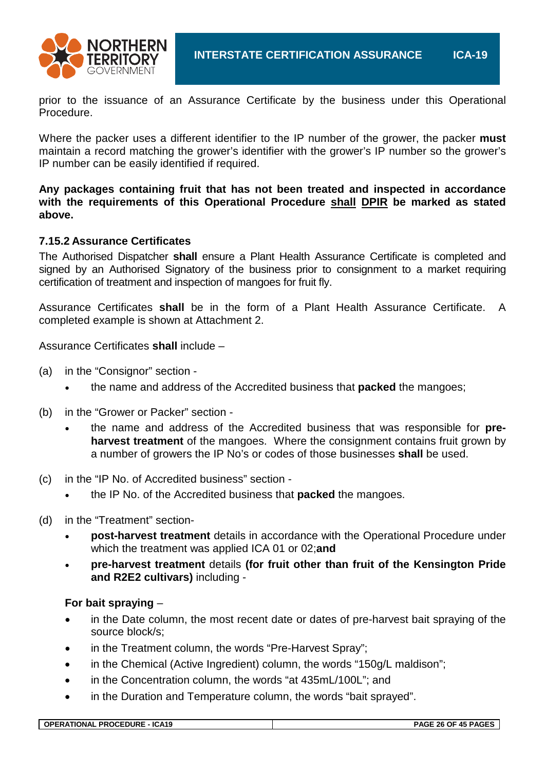

prior to the issuance of an Assurance Certificate by the business under this Operational Procedure.

Where the packer uses a different identifier to the IP number of the grower, the packer **must** maintain a record matching the grower's identifier with the grower's IP number so the grower's IP number can be easily identified if required.

**Any packages containing fruit that has not been treated and inspected in accordance with the requirements of this Operational Procedure shall DPIR be marked as stated above.**

#### **7.15.2 Assurance Certificates**

The Authorised Dispatcher **shall** ensure a Plant Health Assurance Certificate is completed and signed by an Authorised Signatory of the business prior to consignment to a market requiring certification of treatment and inspection of mangoes for fruit fly.

Assurance Certificates **shall** be in the form of a Plant Health Assurance Certificate. A completed example is shown at Attachment 2.

Assurance Certificates **shall** include –

- (a) in the "Consignor" section
	- the name and address of the Accredited business that **packed** the mangoes;
- (b) in the "Grower or Packer" section
	- the name and address of the Accredited business that was responsible for **preharvest treatment** of the mangoes. Where the consignment contains fruit grown by a number of growers the IP No's or codes of those businesses **shall** be used.
- (c) in the "IP No. of Accredited business" section
	- the IP No. of the Accredited business that **packed** the mangoes.
- (d) in the "Treatment" section-
	- **post-harvest treatment** details in accordance with the Operational Procedure under which the treatment was applied ICA 01 or 02;**and**
	- **pre-harvest treatment** details **(for fruit other than fruit of the Kensington Pride and R2E2 cultivars)** including -

#### **For bait spraying** –

- in the Date column, the most recent date or dates of pre-harvest bait spraying of the source block/s;
- in the Treatment column, the words "Pre-Harvest Spray":
- in the Chemical (Active Ingredient) column, the words "150g/L maldison";
- in the Concentration column, the words "at 435mL/100L"; and
- in the Duration and Temperature column, the words "bait sprayed".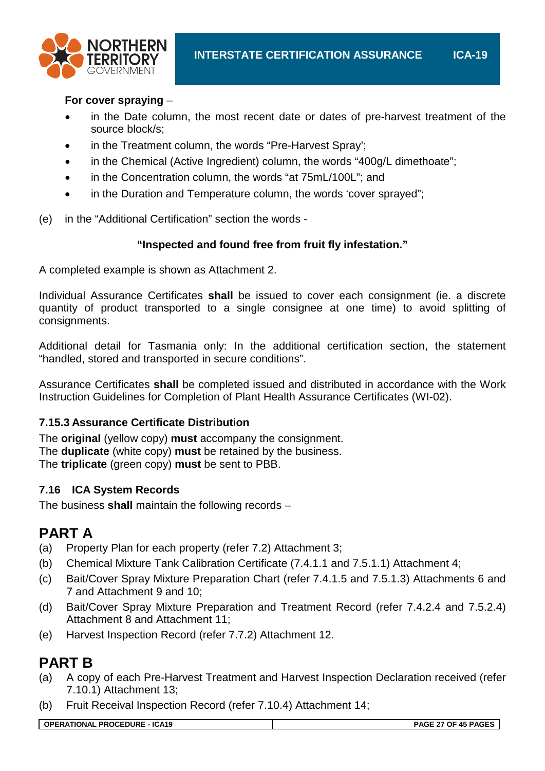

#### **For cover spraying** –

- in the Date column, the most recent date or dates of pre-harvest treatment of the source block/s;
- in the Treatment column, the words "Pre-Harvest Spray";
- in the Chemical (Active Ingredient) column, the words "400g/L dimethoate";
- in the Concentration column, the words "at 75mL/100L"; and
- in the Duration and Temperature column, the words 'cover sprayed";
- (e) in the "Additional Certification" section the words -

### **"Inspected and found free from fruit fly infestation."**

A completed example is shown as Attachment 2.

Individual Assurance Certificates **shall** be issued to cover each consignment (ie. a discrete quantity of product transported to a single consignee at one time) to avoid splitting of consignments.

Additional detail for Tasmania only: In the additional certification section, the statement "handled, stored and transported in secure conditions".

Assurance Certificates **shall** be completed issued and distributed in accordance with the Work Instruction Guidelines for Completion of Plant Health Assurance Certificates (WI-02).

### **7.15.3 Assurance Certificate Distribution**

The **original** (yellow copy) **must** accompany the consignment. The **duplicate** (white copy) **must** be retained by the business. The **triplicate** (green copy) **must** be sent to PBB.

### **7.16 ICA System Records**

The business **shall** maintain the following records –

## **PART A**

- (a) Property Plan for each property (refer 7.2) Attachment 3;
- (b) Chemical Mixture Tank Calibration Certificate (7.4.1.1 and 7.5.1.1) Attachment 4;
- (c) Bait/Cover Spray Mixture Preparation Chart (refer 7.4.1.5 and 7.5.1.3) Attachments 6 and 7 and Attachment 9 and 10;
- (d) Bait/Cover Spray Mixture Preparation and Treatment Record (refer 7.4.2.4 and 7.5.2.4) Attachment 8 and Attachment 11;
- (e) Harvest Inspection Record (refer 7.7.2) Attachment 12.

## **PART B**

- (a) A copy of each Pre-Harvest Treatment and Harvest Inspection Declaration received (refer 7.10.1) Attachment 13;
- (b) Fruit Receival Inspection Record (refer 7.10.4) Attachment 14;

**OPERATIONAL PROCEDURE - ICA19 PAGE 27 OF 45 PAGES**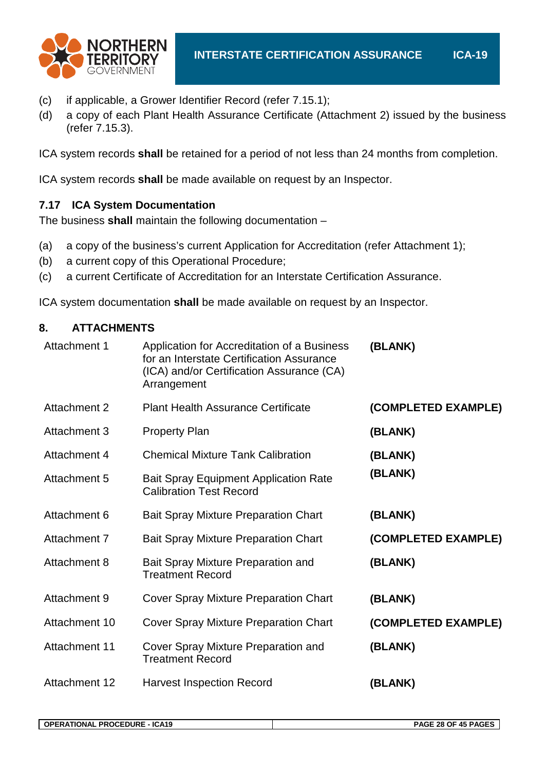

- (c) if applicable, a Grower Identifier Record (refer 7.15.1);
- (d) a copy of each Plant Health Assurance Certificate (Attachment 2) issued by the business (refer 7.15.3).

ICA system records **shall** be retained for a period of not less than 24 months from completion.

ICA system records **shall** be made available on request by an Inspector.

### **7.17 ICA System Documentation**

The business **shall** maintain the following documentation –

- (a) a copy of the business's current Application for Accreditation (refer Attachment 1);
- (b) a current copy of this Operational Procedure;
- (c) a current Certificate of Accreditation for an Interstate Certification Assurance.

ICA system documentation **shall** be made available on request by an Inspector.

#### **8. ATTACHMENTS**

| Attachment 1         | Application for Accreditation of a Business<br>for an Interstate Certification Assurance<br>(ICA) and/or Certification Assurance (CA)<br>Arrangement | (BLANK)             |
|----------------------|------------------------------------------------------------------------------------------------------------------------------------------------------|---------------------|
| <b>Attachment 2</b>  | <b>Plant Health Assurance Certificate</b>                                                                                                            | (COMPLETED EXAMPLE) |
| Attachment 3         | <b>Property Plan</b>                                                                                                                                 | (BLANK)             |
| Attachment 4         | <b>Chemical Mixture Tank Calibration</b>                                                                                                             | (BLANK)             |
| Attachment 5         | <b>Bait Spray Equipment Application Rate</b><br><b>Calibration Test Record</b>                                                                       | (BLANK)             |
| Attachment 6         | <b>Bait Spray Mixture Preparation Chart</b>                                                                                                          | (BLANK)             |
| Attachment 7         | <b>Bait Spray Mixture Preparation Chart</b>                                                                                                          | (COMPLETED EXAMPLE) |
| <b>Attachment 8</b>  | Bait Spray Mixture Preparation and<br><b>Treatment Record</b>                                                                                        | (BLANK)             |
| Attachment 9         | Cover Spray Mixture Preparation Chart                                                                                                                | (BLANK)             |
| Attachment 10        | Cover Spray Mixture Preparation Chart                                                                                                                | (COMPLETED EXAMPLE) |
| <b>Attachment 11</b> | Cover Spray Mixture Preparation and<br><b>Treatment Record</b>                                                                                       | (BLANK)             |
| <b>Attachment 12</b> | <b>Harvest Inspection Record</b>                                                                                                                     | (BLANK)             |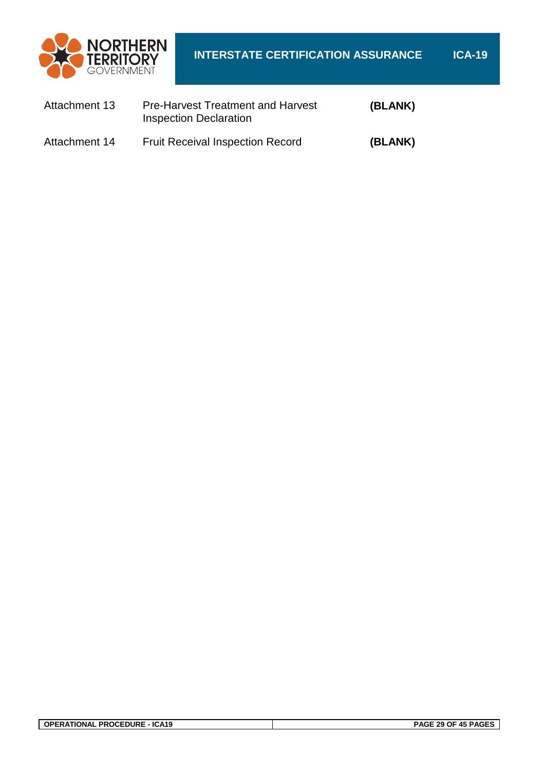

| Attachment 13 | <b>Pre-Harvest Treatment and Harvest</b><br><b>Inspection Declaration</b> | (BLANK) |
|---------------|---------------------------------------------------------------------------|---------|
| Attachment 14 | <b>Fruit Receival Inspection Record</b>                                   | (BLANK) |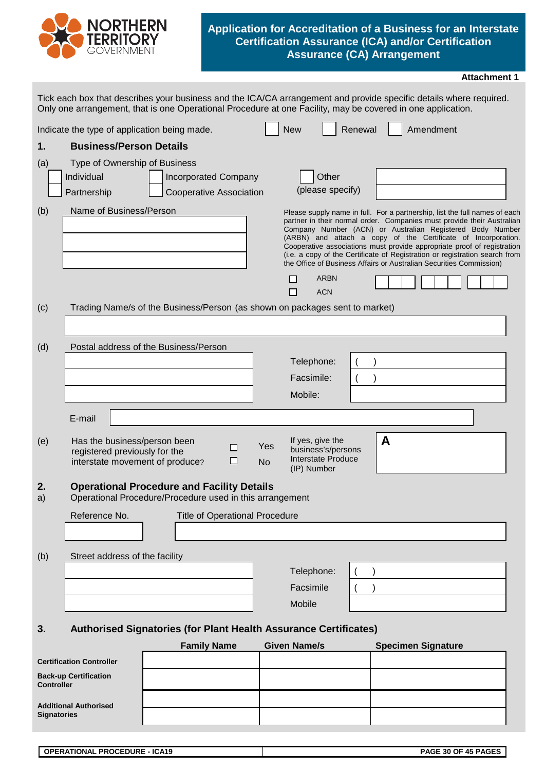

#### **Application for Accreditation of a Business for an Interstate Certification Assurance (ICA) and/or Certification Assurance (CA) Arrangement**

|                   |                                                                                                  |                                                                                                                                                                                                                                   |                     |                                                                                    |                                                                                                                                                                                                                                                                                                                                                                                                                                                                                                                     | <b>Attachment 1</b> |
|-------------------|--------------------------------------------------------------------------------------------------|-----------------------------------------------------------------------------------------------------------------------------------------------------------------------------------------------------------------------------------|---------------------|------------------------------------------------------------------------------------|---------------------------------------------------------------------------------------------------------------------------------------------------------------------------------------------------------------------------------------------------------------------------------------------------------------------------------------------------------------------------------------------------------------------------------------------------------------------------------------------------------------------|---------------------|
|                   |                                                                                                  | Tick each box that describes your business and the ICA/CA arrangement and provide specific details where required.<br>Only one arrangement, that is one Operational Procedure at one Facility, may be covered in one application. |                     |                                                                                    |                                                                                                                                                                                                                                                                                                                                                                                                                                                                                                                     |                     |
|                   | Indicate the type of application being made.                                                     |                                                                                                                                                                                                                                   | <b>New</b>          |                                                                                    | Amendment<br>Renewal                                                                                                                                                                                                                                                                                                                                                                                                                                                                                                |                     |
| 1.                | <b>Business/Person Details</b>                                                                   |                                                                                                                                                                                                                                   |                     |                                                                                    |                                                                                                                                                                                                                                                                                                                                                                                                                                                                                                                     |                     |
| (a)               | Type of Ownership of Business                                                                    |                                                                                                                                                                                                                                   |                     |                                                                                    |                                                                                                                                                                                                                                                                                                                                                                                                                                                                                                                     |                     |
|                   | Individual                                                                                       | <b>Incorporated Company</b>                                                                                                                                                                                                       |                     | Other                                                                              |                                                                                                                                                                                                                                                                                                                                                                                                                                                                                                                     |                     |
|                   | Partnership                                                                                      | <b>Cooperative Association</b>                                                                                                                                                                                                    |                     | (please specify)                                                                   |                                                                                                                                                                                                                                                                                                                                                                                                                                                                                                                     |                     |
| (b)<br>(c)        | Name of Business/Person                                                                          | Trading Name/s of the Business/Person (as shown on packages sent to market)                                                                                                                                                       |                     | <b>ARBN</b><br><b>ACN</b>                                                          | Please supply name in full. For a partnership, list the full names of each<br>partner in their normal order. Companies must provide their Australian<br>Company Number (ACN) or Australian Registered Body Number<br>(ARBN) and attach a copy of the Certificate of Incorporation.<br>Cooperative associations must provide appropriate proof of registration<br>(i.e. a copy of the Certificate of Registration or registration search from<br>the Office of Business Affairs or Australian Securities Commission) |                     |
|                   |                                                                                                  |                                                                                                                                                                                                                                   |                     |                                                                                    |                                                                                                                                                                                                                                                                                                                                                                                                                                                                                                                     |                     |
| (d)               |                                                                                                  | Postal address of the Business/Person                                                                                                                                                                                             |                     |                                                                                    |                                                                                                                                                                                                                                                                                                                                                                                                                                                                                                                     |                     |
|                   |                                                                                                  |                                                                                                                                                                                                                                   |                     | Telephone:                                                                         |                                                                                                                                                                                                                                                                                                                                                                                                                                                                                                                     |                     |
|                   |                                                                                                  |                                                                                                                                                                                                                                   |                     | Facsimile:                                                                         |                                                                                                                                                                                                                                                                                                                                                                                                                                                                                                                     |                     |
|                   |                                                                                                  |                                                                                                                                                                                                                                   |                     | Mobile:                                                                            |                                                                                                                                                                                                                                                                                                                                                                                                                                                                                                                     |                     |
|                   | E-mail                                                                                           |                                                                                                                                                                                                                                   |                     |                                                                                    |                                                                                                                                                                                                                                                                                                                                                                                                                                                                                                                     |                     |
| (e)               | Has the business/person been<br>registered previously for the<br>interstate movement of produce? | □<br>⊔                                                                                                                                                                                                                            | Yes<br><b>No</b>    | If yes, give the<br>business's/persons<br><b>Interstate Produce</b><br>(IP) Number | A                                                                                                                                                                                                                                                                                                                                                                                                                                                                                                                   |                     |
| z.<br>a)          |                                                                                                  | <b>Operational Procedure and Facility Details</b><br>Operational Procedure/Procedure used in this arrangement                                                                                                                     |                     |                                                                                    |                                                                                                                                                                                                                                                                                                                                                                                                                                                                                                                     |                     |
|                   | Reference No.                                                                                    | <b>Title of Operational Procedure</b>                                                                                                                                                                                             |                     |                                                                                    |                                                                                                                                                                                                                                                                                                                                                                                                                                                                                                                     |                     |
|                   |                                                                                                  |                                                                                                                                                                                                                                   |                     |                                                                                    |                                                                                                                                                                                                                                                                                                                                                                                                                                                                                                                     |                     |
| (b)               | Street address of the facility                                                                   |                                                                                                                                                                                                                                   |                     |                                                                                    |                                                                                                                                                                                                                                                                                                                                                                                                                                                                                                                     |                     |
|                   |                                                                                                  |                                                                                                                                                                                                                                   |                     | Telephone:                                                                         |                                                                                                                                                                                                                                                                                                                                                                                                                                                                                                                     |                     |
|                   |                                                                                                  |                                                                                                                                                                                                                                   |                     | Facsimile                                                                          |                                                                                                                                                                                                                                                                                                                                                                                                                                                                                                                     |                     |
|                   |                                                                                                  |                                                                                                                                                                                                                                   |                     | Mobile                                                                             |                                                                                                                                                                                                                                                                                                                                                                                                                                                                                                                     |                     |
| 3.                |                                                                                                  | <b>Authorised Signatories (for Plant Health Assurance Certificates)</b>                                                                                                                                                           |                     |                                                                                    |                                                                                                                                                                                                                                                                                                                                                                                                                                                                                                                     |                     |
|                   |                                                                                                  | <b>Family Name</b>                                                                                                                                                                                                                | <b>Given Name/s</b> |                                                                                    | <b>Specimen Signature</b>                                                                                                                                                                                                                                                                                                                                                                                                                                                                                           |                     |
|                   | <b>Certification Controller</b>                                                                  |                                                                                                                                                                                                                                   |                     |                                                                                    |                                                                                                                                                                                                                                                                                                                                                                                                                                                                                                                     |                     |
| <b>Controller</b> | <b>Back-up Certification</b>                                                                     |                                                                                                                                                                                                                                   |                     |                                                                                    |                                                                                                                                                                                                                                                                                                                                                                                                                                                                                                                     |                     |

| <b>Additional Authorised</b> |
|------------------------------|
| <b>Signatories</b>           |

| <b>CEDURE</b><br>- ICA19<br><b>OPE</b><br><b>PROCE</b><br>™RATIONAL | PAGE 30<br>OF 45 PAGES |
|---------------------------------------------------------------------|------------------------|
|                                                                     |                        |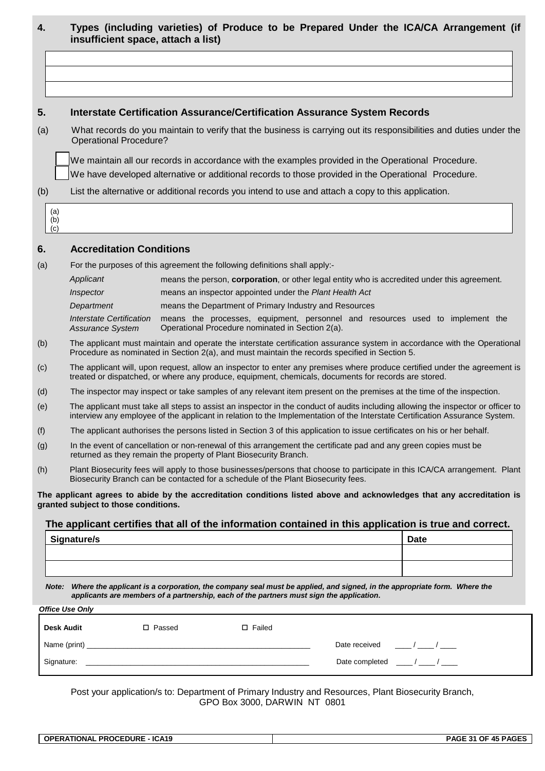| 4.                | insufficient space, attach a list)                  | Types (including varieties) of Produce to be Prepared Under the ICA/CA Arrangement (if                                                                                                                                   |                                                              |                                                                                                                                                                                                                                                                 |
|-------------------|-----------------------------------------------------|--------------------------------------------------------------------------------------------------------------------------------------------------------------------------------------------------------------------------|--------------------------------------------------------------|-----------------------------------------------------------------------------------------------------------------------------------------------------------------------------------------------------------------------------------------------------------------|
|                   |                                                     |                                                                                                                                                                                                                          |                                                              |                                                                                                                                                                                                                                                                 |
|                   |                                                     |                                                                                                                                                                                                                          |                                                              |                                                                                                                                                                                                                                                                 |
|                   |                                                     |                                                                                                                                                                                                                          |                                                              |                                                                                                                                                                                                                                                                 |
| 5.                |                                                     | <b>Interstate Certification Assurance/Certification Assurance System Records</b>                                                                                                                                         |                                                              |                                                                                                                                                                                                                                                                 |
| (a)               | <b>Operational Procedure?</b>                       |                                                                                                                                                                                                                          |                                                              | What records do you maintain to verify that the business is carrying out its responsibilities and duties under the                                                                                                                                              |
|                   |                                                     | We maintain all our records in accordance with the examples provided in the Operational Procedure.                                                                                                                       |                                                              |                                                                                                                                                                                                                                                                 |
|                   |                                                     | We have developed alternative or additional records to those provided in the Operational Procedure.                                                                                                                      |                                                              |                                                                                                                                                                                                                                                                 |
| (b)               |                                                     | List the alternative or additional records you intend to use and attach a copy to this application.                                                                                                                      |                                                              |                                                                                                                                                                                                                                                                 |
| (a)<br>(b)<br>(c) |                                                     |                                                                                                                                                                                                                          |                                                              |                                                                                                                                                                                                                                                                 |
| 6.                | <b>Accreditation Conditions</b>                     |                                                                                                                                                                                                                          |                                                              |                                                                                                                                                                                                                                                                 |
| (a)               |                                                     | For the purposes of this agreement the following definitions shall apply:-                                                                                                                                               |                                                              |                                                                                                                                                                                                                                                                 |
|                   | Applicant                                           | means the person, corporation, or other legal entity who is accredited under this agreement.                                                                                                                             |                                                              |                                                                                                                                                                                                                                                                 |
|                   | Inspector                                           | means an inspector appointed under the Plant Health Act                                                                                                                                                                  |                                                              |                                                                                                                                                                                                                                                                 |
|                   | Department                                          | means the Department of Primary Industry and Resources                                                                                                                                                                   |                                                              |                                                                                                                                                                                                                                                                 |
|                   | <b>Interstate Certification</b><br>Assurance System | means the processes, equipment, personnel and resources used to implement the<br>Operational Procedure nominated in Section 2(a).                                                                                        |                                                              |                                                                                                                                                                                                                                                                 |
| (b)               |                                                     | Procedure as nominated in Section 2(a), and must maintain the records specified in Section 5.                                                                                                                            |                                                              | The applicant must maintain and operate the interstate certification assurance system in accordance with the Operational                                                                                                                                        |
| (c)               |                                                     | treated or dispatched, or where any produce, equipment, chemicals, documents for records are stored.                                                                                                                     |                                                              | The applicant will, upon request, allow an inspector to enter any premises where produce certified under the agreement is                                                                                                                                       |
| (d)               |                                                     | The inspector may inspect or take samples of any relevant item present on the premises at the time of the inspection.                                                                                                    |                                                              |                                                                                                                                                                                                                                                                 |
| (e)               |                                                     |                                                                                                                                                                                                                          |                                                              | The applicant must take all steps to assist an inspector in the conduct of audits including allowing the inspector or officer to<br>interview any employee of the applicant in relation to the Implementation of the Interstate Certification Assurance System. |
| (f)               |                                                     | The applicant authorises the persons listed in Section 3 of this application to issue certificates on his or her behalf.                                                                                                 |                                                              |                                                                                                                                                                                                                                                                 |
| (g)               |                                                     | In the event of cancellation or non-renewal of this arrangement the certificate pad and any green copies must be<br>returned as they remain the property of Plant Biosecurity Branch.                                    |                                                              |                                                                                                                                                                                                                                                                 |
| (h)               |                                                     | Biosecurity Branch can be contacted for a schedule of the Plant Biosecurity fees.                                                                                                                                        |                                                              | Plant Biosecurity fees will apply to those businesses/persons that choose to participate in this ICA/CA arrangement. Plant                                                                                                                                      |
|                   | granted subject to those conditions.                |                                                                                                                                                                                                                          |                                                              | The applicant agrees to abide by the accreditation conditions listed above and acknowledges that any accreditation is                                                                                                                                           |
|                   |                                                     | The applicant certifies that all of the information contained in this application is true and correct.                                                                                                                   |                                                              |                                                                                                                                                                                                                                                                 |
|                   | Signature/s                                         |                                                                                                                                                                                                                          |                                                              | <b>Date</b>                                                                                                                                                                                                                                                     |
|                   |                                                     |                                                                                                                                                                                                                          |                                                              |                                                                                                                                                                                                                                                                 |
|                   |                                                     |                                                                                                                                                                                                                          |                                                              |                                                                                                                                                                                                                                                                 |
|                   |                                                     | Note: Where the applicant is a corporation, the company seal must be applied, and signed, in the appropriate form. Where the<br>applicants are members of a partnership, each of the partners must sign the application. |                                                              |                                                                                                                                                                                                                                                                 |
|                   | <b>Office Use Only</b>                              |                                                                                                                                                                                                                          |                                                              |                                                                                                                                                                                                                                                                 |
|                   | Desk Audit                                          | $\square$ Failed<br>□ Passed                                                                                                                                                                                             |                                                              |                                                                                                                                                                                                                                                                 |
|                   |                                                     |                                                                                                                                                                                                                          | Date received $\frac{1}{2}$ / _______ / ______               |                                                                                                                                                                                                                                                                 |
|                   | Signature:                                          |                                                                                                                                                                                                                          | Date completed $\frac{1}{2}$ / $\frac{1}{2}$ / $\frac{1}{2}$ |                                                                                                                                                                                                                                                                 |

Post your application/s to: Department of Primary Industry and Resources, Plant Biosecurity Branch, GPO Box 3000, DARWIN NT 0801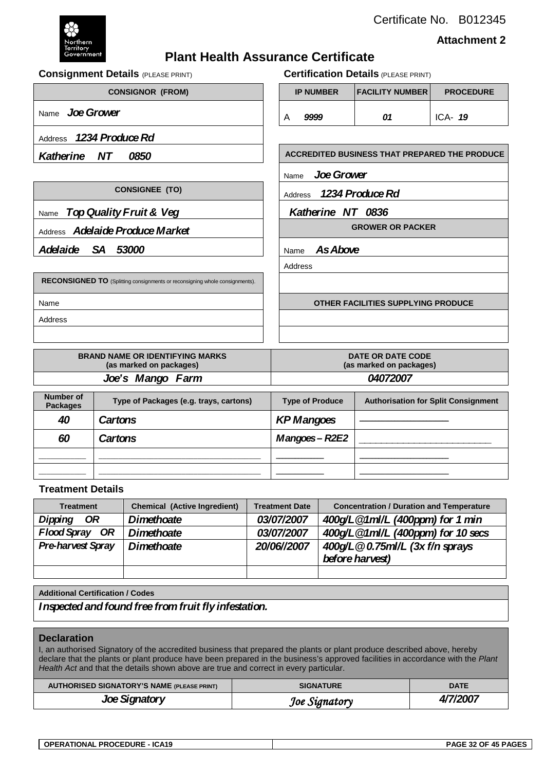Certificate No. B012345



**Attachment 2**

### **Plant Health Assurance Certificate**

**Consignment Details** (PLEASE PRINT) **Certification Details** (PLEASE PRINT) **CONSIGNOR (FROM) IP NUMBER FACILITY NUMBER PROCEDURE** Name *Joe Grower* 2008 1 A 9999 1 201 1 ICA- 19 Address *1234 Produce Rd* **Katherine NT 0850 ACCREDITED BUSINESS THAT PREPARED THE PRODUCE** Name *JoeGrower* **CONSIGNEE (TO) Address** *1234 Produce Rd* Name *Top Quality Fruit & Veg*  $\vert$  **Katherine NT 0836** Address **Adelaide Produce Market GROWER OR PACKER Adelaide SA 53000** Name **As Above** Address **RECONSIGNED TO** (Splitting consignments or reconsigning whole consignments). Name **OTHER FACILITIES SUPPLYING PRODUCE** Address

| <b>BRAND NAME OR IDENTIFYING MARKS</b> | DATE OR DATE CODE       |  |  |
|----------------------------------------|-------------------------|--|--|
| (as marked on packages)                | (as marked on packages) |  |  |
| Joe's Mango Farm                       | 04072007                |  |  |

| <b>Number of</b><br><b>Packages</b> | Type of Packages (e.g. trays, cartons) | <b>Type of Produce</b> | <b>Authorisation for Split Consignment</b> |
|-------------------------------------|----------------------------------------|------------------------|--------------------------------------------|
| 40                                  | Cartons                                | <b>KP Mangoes</b>      |                                            |
| 60                                  | Cartons                                | Mangoes – R2E2         |                                            |
|                                     |                                        |                        |                                            |
|                                     |                                        |                        |                                            |

#### **Treatment Details**

| <b>Treatment</b>         | <b>Chemical (Active Ingredient)</b> | <b>Treatment Date</b> | <b>Concentration / Duration and Temperature</b> |  |  |
|--------------------------|-------------------------------------|-----------------------|-------------------------------------------------|--|--|
| Dipping<br>OR            | <b>Dimethoate</b>                   | 03/07/2007            | 400g/L @1ml/L (400ppm) for 1 min                |  |  |
| Flood Spray OR           | <b>Dimethoate</b>                   | 03/07/2007            | 400g/L @1ml/L (400ppm) for 10 secs              |  |  |
| <b>Pre-harvest Spray</b> | <b>Dimethoate</b>                   | 20/06//2007           | 400g/L @ 0.75ml/L (3x f/n sprays                |  |  |
|                          |                                     |                       | before harvest)                                 |  |  |
|                          |                                     |                       |                                                 |  |  |

#### **Additional Certification / Codes**

*Inspected and found free from fruit fly infestation.*

#### **Declaration**

I, an authorised Signatory of the accredited business that prepared the plants or plant produce described above, hereby declare that the plants or plant produce have been prepared in the business's approved facilities in accordance with the *Plant*  Health Act and that the details shown above are true and correct in every particular.

| <b>AUTHORISED SIGNATORY'S NAME (PLEASE PRINT)</b> | <b>SIGNATURE</b> | <b>DATE</b> |
|---------------------------------------------------|------------------|-------------|
| Joe Signatory                                     | Joe Signatory    | 4/7/2007    |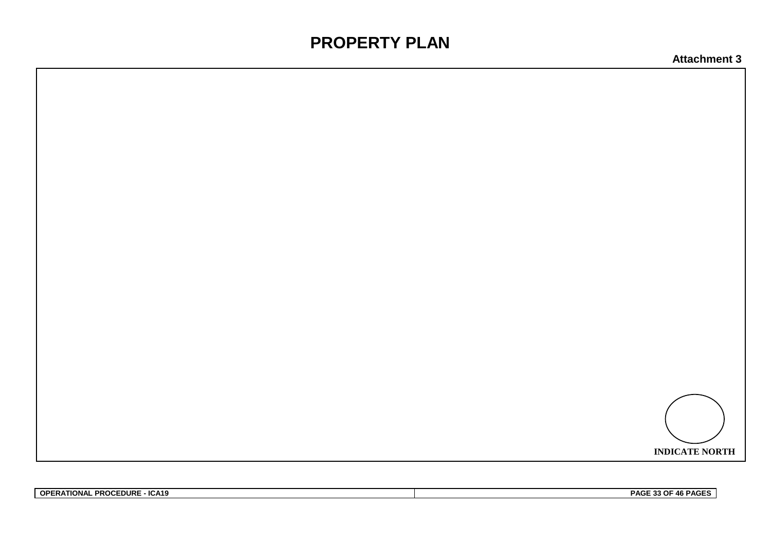# **PROPERTY PLAN**



| <b>OPERATIONAL PROCEDURE -</b><br>- ICA19 | PAGE 33 OF 46 PAGES |
|-------------------------------------------|---------------------|
|                                           |                     |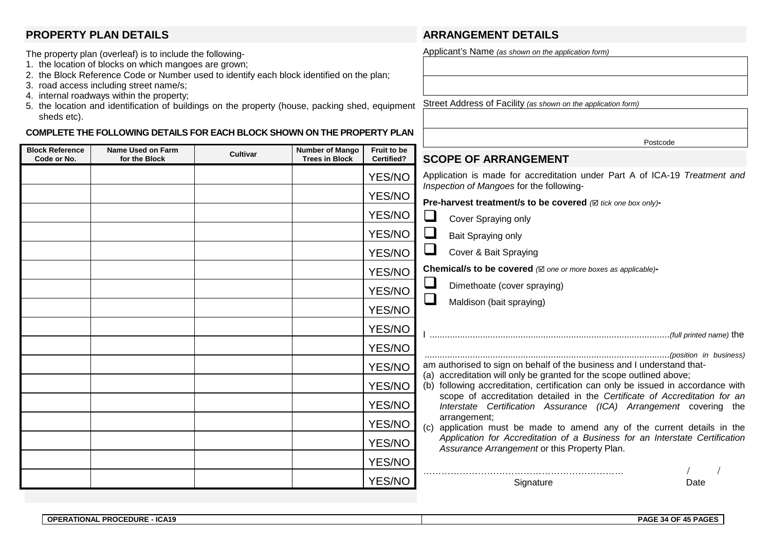#### **PROPERTY PLAN DETAILS**

- The property plan (overleaf) is to include the following-
- 1. the location of blocks on which mangoes are grown;
- 2. the Block Reference Code or Number used to identify each block identified on the plan;
- 3. road access including street name/s;
- 4. internal roadways within the property;
- 5. the location and identification of buildings on the property (house, packing shed, equipment sheds etc). Street Address of Facility *(as shown on the application form)*

#### **COMPLETE THE FOLLOWING DETAILS FOR EACH BLOCK SHOWN ON THE PROPERTY PLAN**

#### **Block Reference Code or No. Name Used on Farm for the Block Cultivar Number of Mango Trees in Block Fruit to be Certified?** YES/NO YES/NO YES/NO YES/NO YES/NO YES/NO YES/NO YES/NO YES/NO YES/NO YES/NO YES/NO YES/NO YES/NO YES/NO YES/NO YES/NO Postcode **SCOPE OF ARRANGEMENT** Application is made for accreditation under Part A of ICA-19 *Treatment and Inspection of Mangoes* for the following-**Pre-harvest treatment/s to be covered**  $\oslash$  *tick one box only*)-Cover Spraying only  $\Box$  Bait Spraying only Cover & Bait Spraying **Chemical/s to be covered** *( one or more boxes as applicable)***-** Dimethoate (cover spraying)  $\Box$  Maldison (bait spraying) I ...............................................................................................*(full printed name)* the .................................................................................................*(position in business)*  am authorised to sign on behalf of the business and I understand that-(a) accreditation will only be granted for the scope outlined above; (b) following accreditation, certification can only be issued in accordance with scope of accreditation detailed in the *Certificate of Accreditation for an Interstate Certification Assurance (ICA) Arrangement* covering the arrangement; (c) application must be made to amend any of the current details in the *Application for Accreditation of a Business for an Interstate Certification Assurance Arrangement* or this Property Plan. ………………………………………………………… / / Signature Date

**ARRANGEMENT DETAILS**

Applicant's Name *(as shown on the application form)*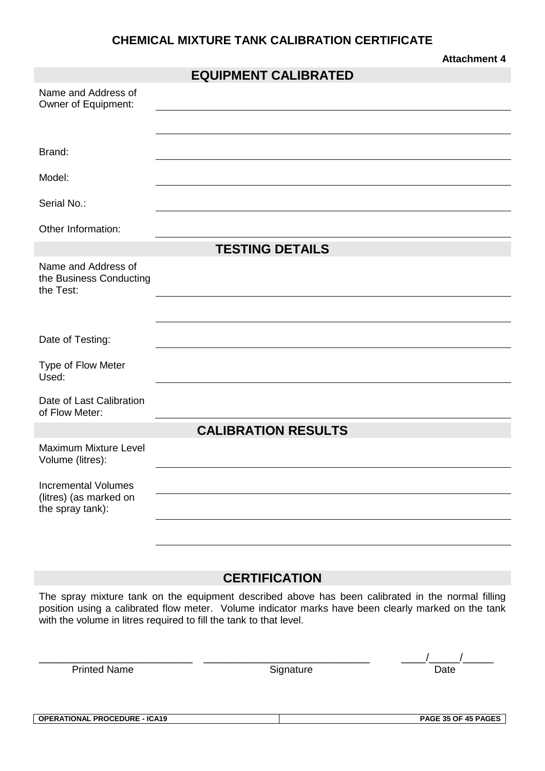## **CHEMICAL MIXTURE TANK CALIBRATION CERTIFICATE**

|                                                                          | <b>EQUIPMENT CALIBRATED</b> |
|--------------------------------------------------------------------------|-----------------------------|
| Name and Address of<br>Owner of Equipment:                               |                             |
|                                                                          |                             |
| Brand:                                                                   |                             |
| Model:                                                                   |                             |
| Serial No.:                                                              |                             |
| Other Information:                                                       |                             |
|                                                                          | <b>TESTING DETAILS</b>      |
| Name and Address of<br>the Business Conducting<br>the Test:              |                             |
|                                                                          |                             |
| Date of Testing:                                                         |                             |
| Type of Flow Meter<br>Used:                                              |                             |
| Date of Last Calibration<br>of Flow Meter:                               |                             |
|                                                                          | <b>CALIBRATION RESULTS</b>  |
| Maximum Mixture Level<br>Volume (litres):                                |                             |
| <b>Incremental Volumes</b><br>(litres) (as marked on<br>the spray tank): |                             |
|                                                                          |                             |

## **CERTIFICATION**

The spray mixture tank on the equipment described above has been calibrated in the normal filling position using a calibrated flow meter. Volume indicator marks have been clearly marked on the tank with the volume in litres required to fill the tank to that level.

| Printed Name |  |
|--------------|--|
|--------------|--|

**Printed Name Signature Date** 

\_\_\_\_\_\_\_\_\_\_\_\_\_\_\_\_\_\_\_\_\_\_\_\_\_ \_\_\_\_\_\_\_\_\_\_\_\_\_\_\_\_\_\_\_\_\_\_\_\_\_\_\_ \_\_\_\_/\_\_\_\_\_/\_\_\_\_\_

**Attachment 4**

**OPERATIONAL PROCEDURE - ICA19 PAGE 35 OF 45 PAGES**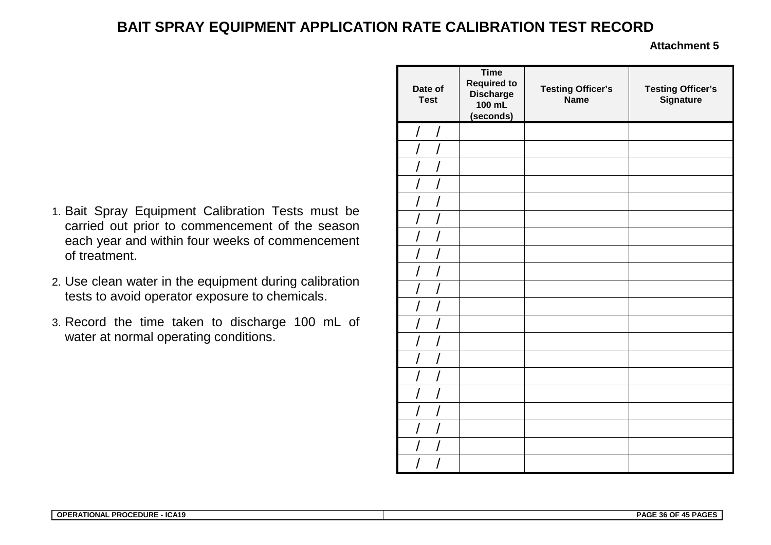## **BAIT SPRAY EQUIPMENT APPLICATION RATE CALIBRATION TEST RECORD**

- 1. Bait Spray Equipment Calibration Tests must be carried out prior to commencement of the season each year and within four weeks of commencement of treatment.
- 2. Use clean water in the equipment during calibration tests to avoid operator exposure to chemicals.
- 3. Record the time taken to discharge 100 mL of water at normal operating conditions.

| Date of<br><b>Test</b> | <b>Time</b><br><b>Required to</b><br><b>Discharge</b><br>100 mL<br>(seconds) | <b>Testing Officer's</b><br><b>Name</b> | <b>Testing Officer's</b><br>Signature |
|------------------------|------------------------------------------------------------------------------|-----------------------------------------|---------------------------------------|
| T<br>$\sqrt{2}$        |                                                                              |                                         |                                       |
|                        |                                                                              |                                         |                                       |
|                        |                                                                              |                                         |                                       |
|                        |                                                                              |                                         |                                       |
|                        |                                                                              |                                         |                                       |
|                        |                                                                              |                                         |                                       |
|                        |                                                                              |                                         |                                       |
|                        |                                                                              |                                         |                                       |
|                        |                                                                              |                                         |                                       |
|                        |                                                                              |                                         |                                       |
|                        |                                                                              |                                         |                                       |
|                        |                                                                              |                                         |                                       |
|                        |                                                                              |                                         |                                       |
|                        |                                                                              |                                         |                                       |
|                        |                                                                              |                                         |                                       |
|                        |                                                                              |                                         |                                       |
|                        |                                                                              |                                         |                                       |
|                        |                                                                              |                                         |                                       |
|                        |                                                                              |                                         |                                       |
|                        |                                                                              |                                         |                                       |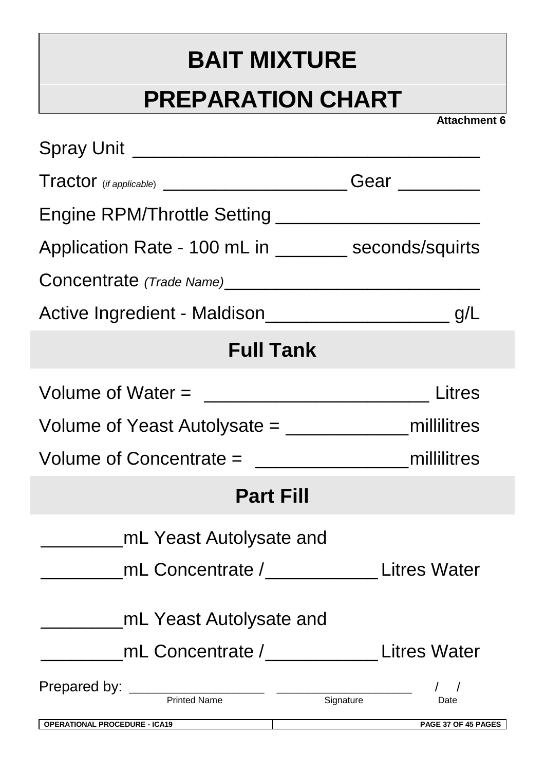# **BAIT MIXTURE**

# **PREPARATION CHART**

| Application Rate - 100 mL in _________ seconds/squirts |                                            |
|--------------------------------------------------------|--------------------------------------------|
|                                                        |                                            |
|                                                        |                                            |
| <b>Full Tank</b>                                       |                                            |
| Volume of Water = $\frac{1}{2}$ Litres                 |                                            |
|                                                        |                                            |
|                                                        |                                            |
| <b>Part Fill</b>                                       |                                            |
| mL Yeast Autolysate and                                |                                            |
|                                                        | mL Concentrate /______________Litres Water |
| mL Yeast Autolysate and                                |                                            |
|                                                        | <b>Litres Water</b>                        |
| Prepared by: <u>Printed Name and Signature</u>         | $\sqrt{ }$<br>Date                         |
| <b>OPERATIONAL PROCEDURE - ICA19</b>                   | PAGE 37 OF 45 PAGES                        |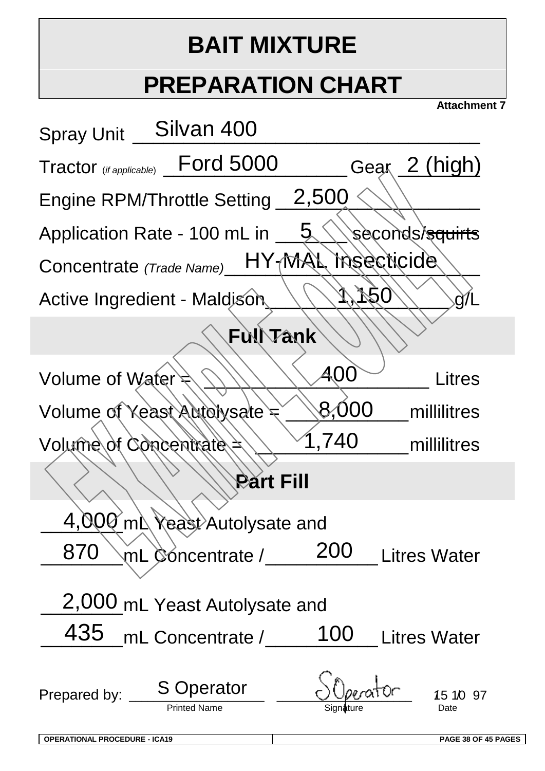# **BAIT MIXTURE**

# **PREPARATION CHART**

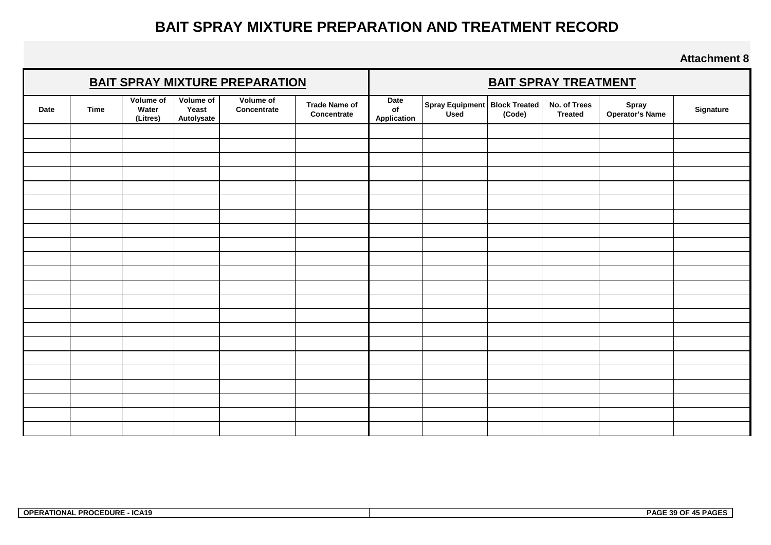## **BAIT SPRAY MIXTURE PREPARATION AND TREATMENT RECORD**

| <b>BAIT SPRAY MIXTURE PREPARATION</b> |             |                                | <b>BAIT SPRAY TREATMENT</b>      |                          |                                     |                           |                                         |        |                                |                          |           |
|---------------------------------------|-------------|--------------------------------|----------------------------------|--------------------------|-------------------------------------|---------------------------|-----------------------------------------|--------|--------------------------------|--------------------------|-----------|
| Date                                  | <b>Time</b> | Volume of<br>Water<br>(Litres) | Volume of<br>Yeast<br>Autolysate | Volume of<br>Concentrate | <b>Trade Name of</b><br>Concentrate | Date<br>of<br>Application | Spray Equipment   Block Treated<br>Used | (Code) | No. of Trees<br><b>Treated</b> | Spray<br>Operator's Name | Signature |
|                                       |             |                                |                                  |                          |                                     |                           |                                         |        |                                |                          |           |
|                                       |             |                                |                                  |                          |                                     |                           |                                         |        |                                |                          |           |
|                                       |             |                                |                                  |                          |                                     |                           |                                         |        |                                |                          |           |
|                                       |             |                                |                                  |                          |                                     |                           |                                         |        |                                |                          |           |
|                                       |             |                                |                                  |                          |                                     |                           |                                         |        |                                |                          |           |
|                                       |             |                                |                                  |                          |                                     |                           |                                         |        |                                |                          |           |
|                                       |             |                                |                                  |                          |                                     |                           |                                         |        |                                |                          |           |
|                                       |             |                                |                                  |                          |                                     |                           |                                         |        |                                |                          |           |
|                                       |             |                                |                                  |                          |                                     |                           |                                         |        |                                |                          |           |
|                                       |             |                                |                                  |                          |                                     |                           |                                         |        |                                |                          |           |
|                                       |             |                                |                                  |                          |                                     |                           |                                         |        |                                |                          |           |
|                                       |             |                                |                                  |                          |                                     |                           |                                         |        |                                |                          |           |
|                                       |             |                                |                                  |                          |                                     |                           |                                         |        |                                |                          |           |
|                                       |             |                                |                                  |                          |                                     |                           |                                         |        |                                |                          |           |
|                                       |             |                                |                                  |                          |                                     |                           |                                         |        |                                |                          |           |
|                                       |             |                                |                                  |                          |                                     |                           |                                         |        |                                |                          |           |
|                                       |             |                                |                                  |                          |                                     |                           |                                         |        |                                |                          |           |
|                                       |             |                                |                                  |                          |                                     |                           |                                         |        |                                |                          |           |
|                                       |             |                                |                                  |                          |                                     |                           |                                         |        |                                |                          |           |
|                                       |             |                                |                                  |                          |                                     |                           |                                         |        |                                |                          |           |
|                                       |             |                                |                                  |                          |                                     |                           |                                         |        |                                |                          |           |
|                                       |             |                                |                                  |                          |                                     |                           |                                         |        |                                |                          |           |

| <b>PROCEDURE</b><br>- ICA19<br><b>OPERATIONAL</b> | 30 OF<br><b>PAGI</b><br>LE PAGI<br>. |
|---------------------------------------------------|--------------------------------------|
|---------------------------------------------------|--------------------------------------|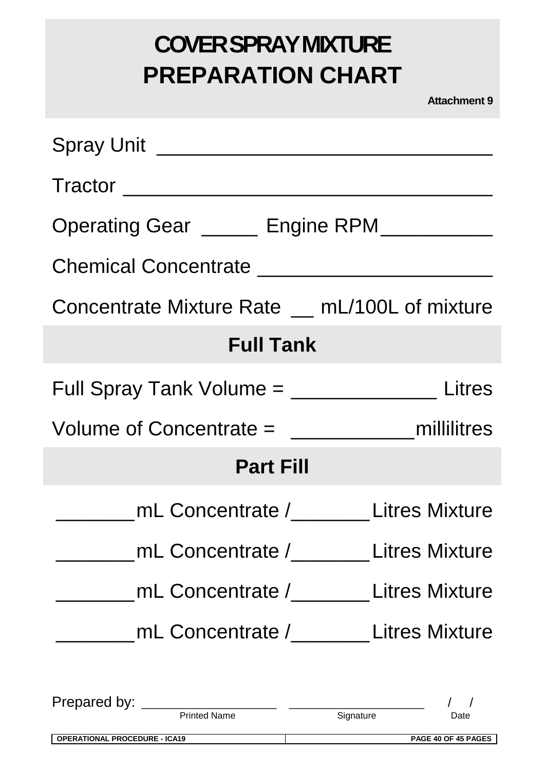# **COVER SPRAY MIXTURE PREPARATION CHART**

| Tractor                                                |                                         |
|--------------------------------------------------------|-----------------------------------------|
| Operating Gear ______ Engine RPM___________            |                                         |
|                                                        |                                         |
| Concentrate Mixture Rate _ mL/100L of mixture          |                                         |
| <b>Full Tank</b>                                       |                                         |
| Full Spray Tank Volume = _______________________Litres |                                         |
|                                                        |                                         |
| <b>Part Fill</b>                                       |                                         |
|                                                        | mL Concentrate / The Litres Mixture     |
|                                                        | mL Concentrate /_________Litres Mixture |
|                                                        | mL Concentrate / Litres Mixture         |
|                                                        | mL Concentrate /________Litres Mixture  |
|                                                        |                                         |
|                                                        |                                         |
| <b>OPERATIONAL PROCEDURE - ICA19</b>                   | PAGE 40 OF 45 PAGES                     |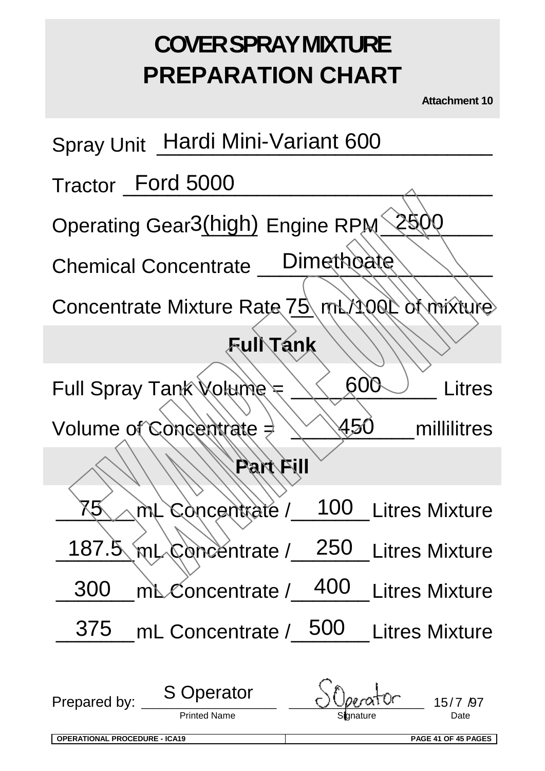# **COVER SPRAY MIXTURE PREPARATION CHART**

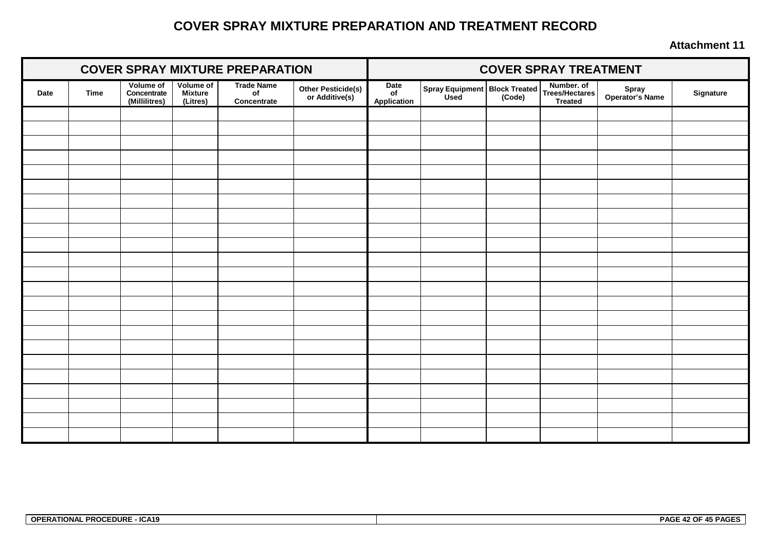## **COVER SPRAY MIXTURE PREPARATION AND TREATMENT RECORD**

| <b>COVER SPRAY MIXTURE PREPARATION</b> |             |                                                  |                                                |                                                    | <b>COVER SPRAY TREATMENT</b>         |                           |                                                |  |                                                       |                          |           |
|----------------------------------------|-------------|--------------------------------------------------|------------------------------------------------|----------------------------------------------------|--------------------------------------|---------------------------|------------------------------------------------|--|-------------------------------------------------------|--------------------------|-----------|
| Date                                   | <b>Time</b> | <b>Volume of</b><br>Concentrate<br>(Millilitres) | <b>Volume of</b><br><b>Mixture</b><br>(Litres) | <b>Trade Name</b><br>o <sub>f</sub><br>Concentrate | Other Pesticide(s)<br>or Additive(s) | Date<br>of<br>Application | Spray Equipment   Block Treated<br>Used (Code) |  | Number. of<br><b>Trees/Hectares</b><br><b>Treated</b> | Spray<br>Operator's Name | Signature |
|                                        |             |                                                  |                                                |                                                    |                                      |                           |                                                |  |                                                       |                          |           |
|                                        |             |                                                  |                                                |                                                    |                                      |                           |                                                |  |                                                       |                          |           |
|                                        |             |                                                  |                                                |                                                    |                                      |                           |                                                |  |                                                       |                          |           |
|                                        |             |                                                  |                                                |                                                    |                                      |                           |                                                |  |                                                       |                          |           |
|                                        |             |                                                  |                                                |                                                    |                                      |                           |                                                |  |                                                       |                          |           |
|                                        |             |                                                  |                                                |                                                    |                                      |                           |                                                |  |                                                       |                          |           |
|                                        |             |                                                  |                                                |                                                    |                                      |                           |                                                |  |                                                       |                          |           |
|                                        |             |                                                  |                                                |                                                    |                                      |                           |                                                |  |                                                       |                          |           |
|                                        |             |                                                  |                                                |                                                    |                                      |                           |                                                |  |                                                       |                          |           |
|                                        |             |                                                  |                                                |                                                    |                                      |                           |                                                |  |                                                       |                          |           |
|                                        |             |                                                  |                                                |                                                    |                                      |                           |                                                |  |                                                       |                          |           |
|                                        |             |                                                  |                                                |                                                    |                                      |                           |                                                |  |                                                       |                          |           |
|                                        |             |                                                  |                                                |                                                    |                                      |                           |                                                |  |                                                       |                          |           |
|                                        |             |                                                  |                                                |                                                    |                                      |                           |                                                |  |                                                       |                          |           |
|                                        |             |                                                  |                                                |                                                    |                                      |                           |                                                |  |                                                       |                          |           |
|                                        |             |                                                  |                                                |                                                    |                                      |                           |                                                |  |                                                       |                          |           |
|                                        |             |                                                  |                                                |                                                    |                                      |                           |                                                |  |                                                       |                          |           |
|                                        |             |                                                  |                                                |                                                    |                                      |                           |                                                |  |                                                       |                          |           |
|                                        |             |                                                  |                                                |                                                    |                                      |                           |                                                |  |                                                       |                          |           |
|                                        |             |                                                  |                                                |                                                    |                                      |                           |                                                |  |                                                       |                          |           |
|                                        |             |                                                  |                                                |                                                    |                                      |                           |                                                |  |                                                       |                          |           |
|                                        |             |                                                  |                                                |                                                    |                                      |                           |                                                |  |                                                       |                          |           |
|                                        |             |                                                  |                                                |                                                    |                                      |                           |                                                |  |                                                       |                          |           |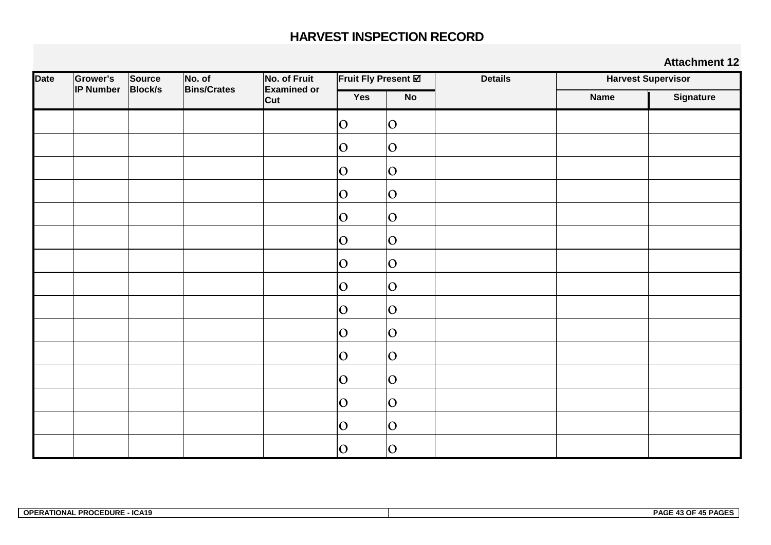## **HARVEST INSPECTION RECORD**

| <b>Date</b> | Grower's         | Source         | No. of             | No. of Fruit              |             | Fruit Fly Present Ø | <b>Details</b> | <b>Harvest Supervisor</b> |                  |
|-------------|------------------|----------------|--------------------|---------------------------|-------------|---------------------|----------------|---------------------------|------------------|
|             | <b>IP Number</b> | <b>Block/s</b> | <b>Bins/Crates</b> | <b>Examined or</b><br>Cut | Yes         | No                  |                | <b>Name</b>               | <b>Signature</b> |
|             |                  |                |                    |                           | 0           | O                   |                |                           |                  |
|             |                  |                |                    |                           | $ 0\rangle$ | O                   |                |                           |                  |
|             |                  |                |                    |                           | O           | O                   |                |                           |                  |
|             |                  |                |                    |                           | $ 0\rangle$ | O                   |                |                           |                  |
|             |                  |                |                    |                           | $ 0\rangle$ | O                   |                |                           |                  |
|             |                  |                |                    |                           | O           | O                   |                |                           |                  |
|             |                  |                |                    |                           | $ 0\rangle$ | O                   |                |                           |                  |
|             |                  |                |                    |                           | O           | O                   |                |                           |                  |
|             |                  |                |                    |                           | $ 0\rangle$ | O                   |                |                           |                  |
|             |                  |                |                    |                           | $ 0\rangle$ | O                   |                |                           |                  |
|             |                  |                |                    |                           | O           | O                   |                |                           |                  |
|             |                  |                |                    |                           | O           | O                   |                |                           |                  |
|             |                  |                |                    |                           | O           | O                   |                |                           |                  |
|             |                  |                |                    |                           | O           | O                   |                |                           |                  |
|             |                  |                |                    |                           | $ 0\rangle$ | O                   |                |                           |                  |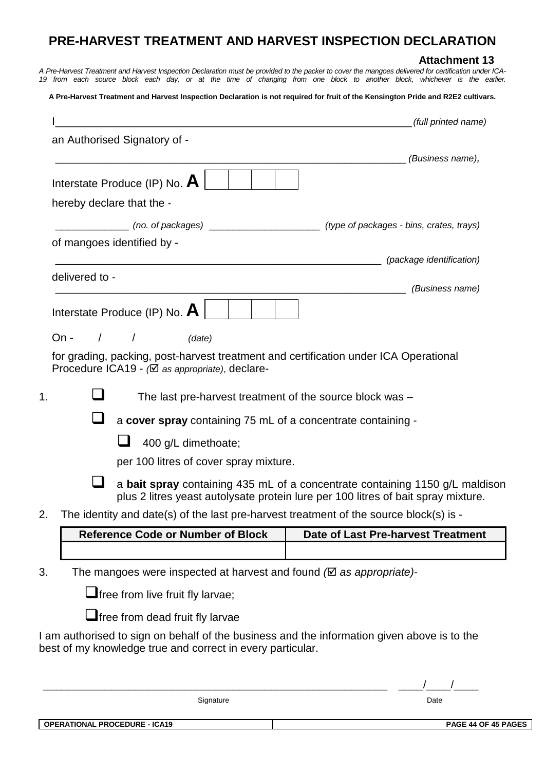## **PRE-HARVEST TREATMENT AND HARVEST INSPECTION DECLARATION**

#### **Attachment 13**

*A Pre-Harvest Treatment and Harvest Inspection Declaration must be provided to the packer to cover the mangoes delivered for certification under ICA-19 from each source block each day, or at the time of changing from one block to another block, whichever is the earlier.*

**A Pre-Harvest Treatment and Harvest Inspection Declaration is not required for fruit of the Kensington Pride and R2E2 cultivars.**

|                                                                                                                                                           | (full printed name)<br><u> 1989 - Johann Stoff, amerikansk politiker (d. 1989)</u>                                                                                |  |  |  |  |  |  |  |  |
|-----------------------------------------------------------------------------------------------------------------------------------------------------------|-------------------------------------------------------------------------------------------------------------------------------------------------------------------|--|--|--|--|--|--|--|--|
| an Authorised Signatory of -                                                                                                                              |                                                                                                                                                                   |  |  |  |  |  |  |  |  |
|                                                                                                                                                           | (Business name),                                                                                                                                                  |  |  |  |  |  |  |  |  |
| Interstate Produce (IP) No. $\mathbf A$                                                                                                                   |                                                                                                                                                                   |  |  |  |  |  |  |  |  |
| hereby declare that the -                                                                                                                                 |                                                                                                                                                                   |  |  |  |  |  |  |  |  |
| _________ (no. of packages) _____________________ (type of packages - bins, crates, trays)                                                                |                                                                                                                                                                   |  |  |  |  |  |  |  |  |
| of mangoes identified by -                                                                                                                                |                                                                                                                                                                   |  |  |  |  |  |  |  |  |
|                                                                                                                                                           |                                                                                                                                                                   |  |  |  |  |  |  |  |  |
| delivered to -                                                                                                                                            | (Business name)                                                                                                                                                   |  |  |  |  |  |  |  |  |
| Interstate Produce (IP) No. $\mathbf{A}$                                                                                                                  |                                                                                                                                                                   |  |  |  |  |  |  |  |  |
| $On -$<br>$\sqrt{2}$<br>$\sqrt{ }$<br>(date)                                                                                                              |                                                                                                                                                                   |  |  |  |  |  |  |  |  |
| for grading, packing, post-harvest treatment and certification under ICA Operational<br>Procedure ICA19 - ( $\boxtimes$ as appropriate), declare-         |                                                                                                                                                                   |  |  |  |  |  |  |  |  |
| The last pre-harvest treatment of the source block was -<br>1.                                                                                            |                                                                                                                                                                   |  |  |  |  |  |  |  |  |
|                                                                                                                                                           | a cover spray containing 75 mL of a concentrate containing -                                                                                                      |  |  |  |  |  |  |  |  |
| 400 g/L dimethoate;                                                                                                                                       |                                                                                                                                                                   |  |  |  |  |  |  |  |  |
| per 100 litres of cover spray mixture.                                                                                                                    |                                                                                                                                                                   |  |  |  |  |  |  |  |  |
|                                                                                                                                                           | a bait spray containing 435 mL of a concentrate containing 1150 g/L maldison<br>plus 2 litres yeast autolysate protein lure per 100 litres of bait spray mixture. |  |  |  |  |  |  |  |  |
| The identity and date(s) of the last pre-harvest treatment of the source block(s) is -<br>2                                                               |                                                                                                                                                                   |  |  |  |  |  |  |  |  |
| <b>Reference Code or Number of Block</b>                                                                                                                  | <b>Date of Last Pre-harvest Treatment</b>                                                                                                                         |  |  |  |  |  |  |  |  |
|                                                                                                                                                           |                                                                                                                                                                   |  |  |  |  |  |  |  |  |
| 3.<br>The mangoes were inspected at harvest and found $\oslash$ as appropriate)-                                                                          |                                                                                                                                                                   |  |  |  |  |  |  |  |  |
| $\Box$ free from live fruit fly larvae;                                                                                                                   |                                                                                                                                                                   |  |  |  |  |  |  |  |  |
| <b>Ifree from dead fruit fly larvae</b>                                                                                                                   |                                                                                                                                                                   |  |  |  |  |  |  |  |  |
| I am authorised to sign on behalf of the business and the information given above is to the<br>best of my knowledge true and correct in every particular. |                                                                                                                                                                   |  |  |  |  |  |  |  |  |
|                                                                                                                                                           |                                                                                                                                                                   |  |  |  |  |  |  |  |  |

\_\_\_\_\_\_\_\_\_\_\_\_\_\_\_\_\_\_\_\_\_\_\_\_\_\_\_\_\_\_\_\_\_\_\_\_\_\_\_\_\_\_\_\_\_\_\_\_\_\_\_\_\_\_\_\_ \_\_\_\_/\_\_\_\_/\_\_\_\_

Signature Date